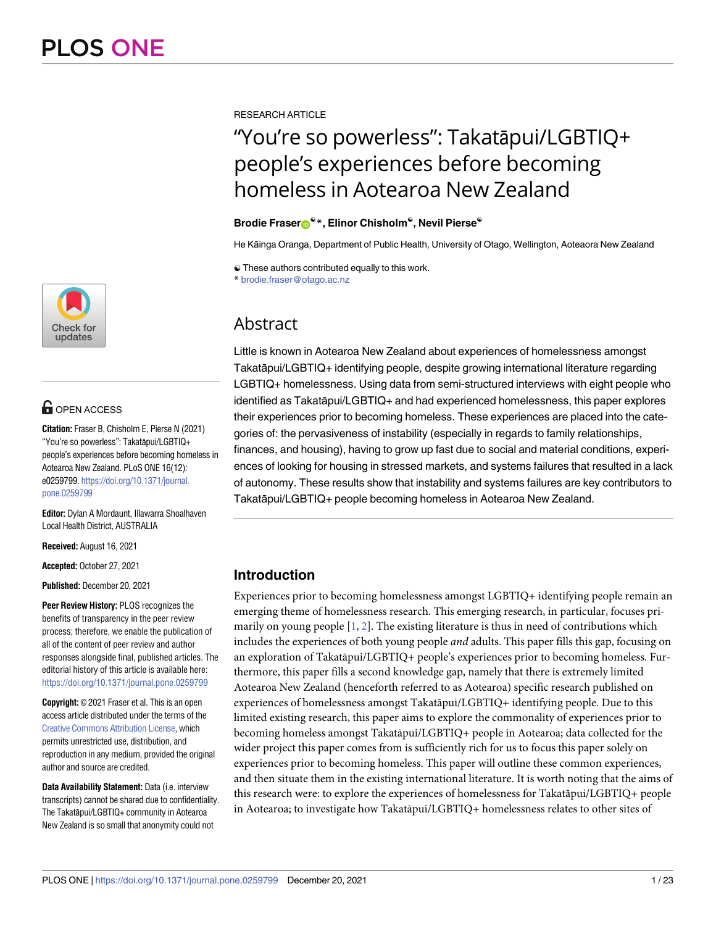

# **OPEN ACCESS**

**Citation:** Fraser B, Chisholm E, Pierse N (2021) "You're so powerless": Takatāpui/LGBTIQ+ people's experiences before becoming homeless in Aotearoa New Zealand. PLoS ONE 16(12): e0259799. [https://doi.org/10.1371/journal.](https://doi.org/10.1371/journal.pone.0259799) [pone.0259799](https://doi.org/10.1371/journal.pone.0259799)

**Editor:** Dylan A Mordaunt, Illawarra Shoalhaven Local Health District, AUSTRALIA

**Received:** August 16, 2021

**Accepted:** October 27, 2021

**Published:** December 20, 2021

**Peer Review History:** PLOS recognizes the benefits of transparency in the peer review process; therefore, we enable the publication of all of the content of peer review and author responses alongside final, published articles. The editorial history of this article is available here: <https://doi.org/10.1371/journal.pone.0259799>

**Copyright:** © 2021 Fraser et al. This is an open access article distributed under the terms of the Creative Commons [Attribution](http://creativecommons.org/licenses/by/4.0/) License, which permits unrestricted use, distribution, and reproduction in any medium, provided the original author and source are credited.

**Data Availability Statement:** Data (i.e. interview transcripts) cannot be shared due to confidentiality. The Takatāpui/LGBTIQ+ community in Aotearoa New Zealand is so small that anonymity could not

<span id="page-0-0"></span>RESEARCH ARTICLE

# "You're so powerless": Takatāpui/LGBTIQ+ people's experiences before becoming homeless in Aotearoa New Zealand

#### $\text{Brodie}$  **Fraser**<sup>®</sup> \*, Elinor Chisholm<sup>®</sup>, Nevil Pierse<sup>®</sup>

He Kāinga Oranga, Department of Public Health, University of Otago, Wellington, Aoteaora New Zealand

☯ These authors contributed equally to this work. \* brodie.fraser@otago.ac.nz

# Abstract

Little is known in Aotearoa New Zealand about experiences of homelessness amongst Takatāpui/LGBTIQ+ identifying people, despite growing international literature regarding LGBTIQ+ homelessness. Using data from semi-structured interviews with eight people who identified as Takatāpui/LGBTIQ+ and had experienced homelessness, this paper explores their experiences prior to becoming homeless. These experiences are placed into the categories of: the pervasiveness of instability (especially in regards to family relationships, finances, and housing), having to grow up fast due to social and material conditions, experiences of looking for housing in stressed markets, and systems failures that resulted in a lack of autonomy. These results show that instability and systems failures are key contributors to Takatāpui/LGBTIQ+ people becoming homeless in Aotearoa New Zealand.

# **Introduction**

Experiences prior to becoming homelessness amongst LGBTIQ+ identifying people remain an emerging theme of homelessness research. This emerging research, in particular, focuses primarily on young people  $[1, 2]$  $[1, 2]$  $[1, 2]$  $[1, 2]$ . The existing literature is thus in need of contributions which includes the experiences of both young people *and* adults. This paper fills this gap, focusing on an exploration of Takatāpui/LGBTIQ+ people's experiences prior to becoming homeless. Furthermore, this paper fills a second knowledge gap, namely that there is extremely limited Aotearoa New Zealand (henceforth referred to as Aotearoa) specific research published on experiences of homelessness amongst Takatāpui/LGBTIQ+ identifying people. Due to this limited existing research, this paper aims to explore the commonality of experiences prior to becoming homeless amongst Takatāpui/LGBTIQ+ people in Aotearoa; data collected for the wider project this paper comes from is sufficiently rich for us to focus this paper solely on experiences prior to becoming homeless. This paper will outline these common experiences, and then situate them in the existing international literature. It is worth noting that the aims of this research were: to explore the experiences of homelessness for Takatāpui/LGBTIQ+ people in Aotearoa; to investigate how Takatāpui/LGBTIQ+ homelessness relates to other sites of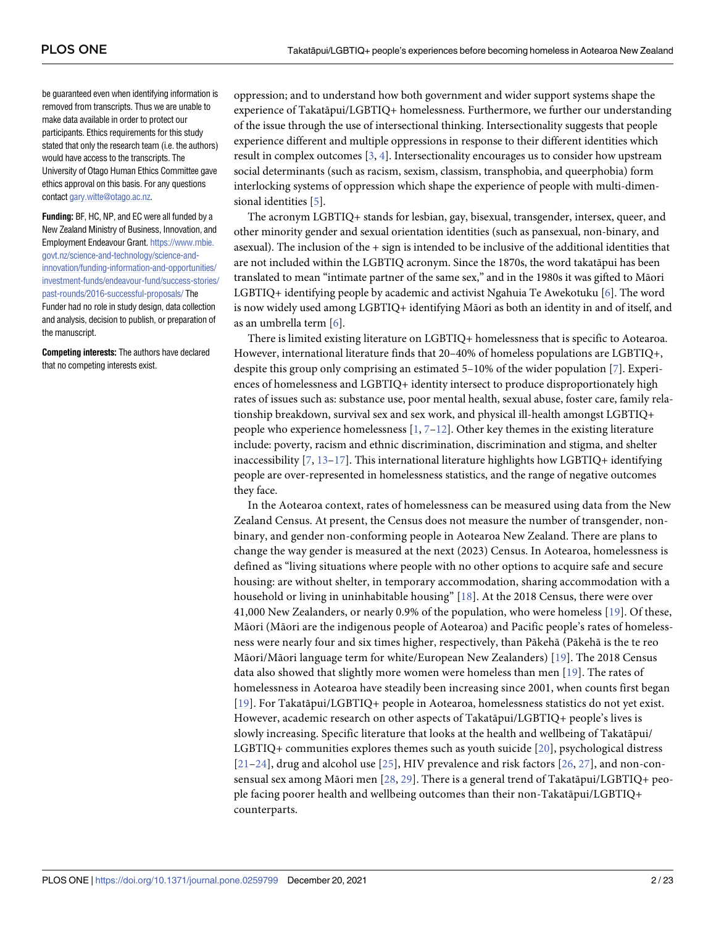<span id="page-1-0"></span>be guaranteed even when identifying information is removed from transcripts. Thus we are unable to make data available in order to protect our participants. Ethics requirements for this study stated that only the research team (i.e. the authors) would have access to the transcripts. The University of Otago Human Ethics Committee gave ethics approval on this basis. For any questions contact [gary.witte@otago.ac.nz](mailto:gary.witte@otago.ac.nz).

**Funding:** BF, HC, NP, and EC were all funded by a New Zealand Ministry of Business, Innovation, and Employment Endeavour Grant. [https://www.mbie.](https://www.mbie.govt.nz/science-and-technology/science-and-innovation/funding-information-and-opportunities/investment-funds/endeavour-fund/success-stories/past-rounds/2016-successful-proposals/) [govt.nz/science-and-technology/science-and](https://www.mbie.govt.nz/science-and-technology/science-and-innovation/funding-information-and-opportunities/investment-funds/endeavour-fund/success-stories/past-rounds/2016-successful-proposals/)[innovation/funding-information-and-opportunities/](https://www.mbie.govt.nz/science-and-technology/science-and-innovation/funding-information-and-opportunities/investment-funds/endeavour-fund/success-stories/past-rounds/2016-successful-proposals/) [investment-funds/endeavour-fund/success-stories/](https://www.mbie.govt.nz/science-and-technology/science-and-innovation/funding-information-and-opportunities/investment-funds/endeavour-fund/success-stories/past-rounds/2016-successful-proposals/) [past-rounds/2016-successful-proposals/](https://www.mbie.govt.nz/science-and-technology/science-and-innovation/funding-information-and-opportunities/investment-funds/endeavour-fund/success-stories/past-rounds/2016-successful-proposals/) The Funder had no role in study design, data collection and analysis, decision to publish, or preparation of the manuscript.

**Competing interests:** The authors have declared that no competing interests exist.

oppression; and to understand how both government and wider support systems shape the experience of Takatāpui/LGBTIQ+ homelessness. Furthermore, we further our understanding of the issue through the use of intersectional thinking. Intersectionality suggests that people experience different and multiple oppressions in response to their different identities which result in complex outcomes [\[3](#page-18-0), [4](#page-18-0)]. Intersectionality encourages us to consider how upstream social determinants (such as racism, sexism, classism, transphobia, and queerphobia) form interlocking systems of oppression which shape the experience of people with multi-dimensional identities [\[5](#page-18-0)].

The acronym LGBTIQ+ stands for lesbian, gay, bisexual, transgender, intersex, queer, and other minority gender and sexual orientation identities (such as pansexual, non-binary, and asexual). The inclusion of the + sign is intended to be inclusive of the additional identities that are not included within the LGBTIQ acronym. Since the 1870s, the word takatāpui has been translated to mean "intimate partner of the same sex," and in the 1980s it was gifted to Māori LGBTIQ+ identifying people by academic and activist Ngahuia Te Awekotuku [\[6](#page-18-0)]. The word is now widely used among LGBTIQ+ identifying Māori as both an identity in and of itself, and as an umbrella term [[6\]](#page-18-0).

There is limited existing literature on LGBTIQ+ homelessness that is specific to Aotearoa. However, international literature finds that 20–40% of homeless populations are LGBTIQ+, despite this group only comprising an estimated 5–10% of the wider population [\[7](#page-18-0)]. Experiences of homelessness and LGBTIQ+ identity intersect to produce disproportionately high rates of issues such as: substance use, poor mental health, sexual abuse, foster care, family relationship breakdown, survival sex and sex work, and physical ill-health amongst LGBTIQ+ people who experience homelessness  $[1, 7-12]$  $[1, 7-12]$  $[1, 7-12]$  $[1, 7-12]$  $[1, 7-12]$ . Other key themes in the existing literature include: poverty, racism and ethnic discrimination, discrimination and stigma, and shelter inaccessibility  $[7, 13-17]$  $[7, 13-17]$  $[7, 13-17]$ . This international literature highlights how LGBTIQ+ identifying people are over-represented in homelessness statistics, and the range of negative outcomes they face.

In the Aotearoa context, rates of homelessness can be measured using data from the New Zealand Census. At present, the Census does not measure the number of transgender, nonbinary, and gender non-conforming people in Aotearoa New Zealand. There are plans to change the way gender is measured at the next (2023) Census. In Aotearoa, homelessness is defined as "living situations where people with no other options to acquire safe and secure housing: are without shelter, in temporary accommodation, sharing accommodation with a household or living in uninhabitable housing" [\[18](#page-19-0)]. At the 2018 Census, there were over 41,000 New Zealanders, or nearly 0.9% of the population, who were homeless [[19\]](#page-19-0). Of these, Māori (Māori are the indigenous people of Aotearoa) and Pacific people's rates of homelessness were nearly four and six times higher, respectively, than Pākehā (Pākehā is the te reo Māori/Māori language term for white/European New Zealanders) [[19\]](#page-19-0). The 2018 Census data also showed that slightly more women were homeless than men [\[19](#page-19-0)]. The rates of homelessness in Aotearoa have steadily been increasing since 2001, when counts first began [[19](#page-19-0)]. For Takatāpui/LGBTIQ+ people in Aotearoa, homelessness statistics do not yet exist. However, academic research on other aspects of Takatāpui/LGBTIQ+ people's lives is slowly increasing. Specific literature that looks at the health and wellbeing of Takatāpui/ LGBTIQ+ communities explores themes such as youth suicide [[20](#page-19-0)], psychological distress [[21](#page-19-0)–[24](#page-19-0)], drug and alcohol use [[25\]](#page-19-0), HIV prevalence and risk factors [[26](#page-19-0), [27\]](#page-19-0), and non-consensual sex among Māori men [[28](#page-19-0), [29\]](#page-19-0). There is a general trend of Takatāpui/LGBTIQ+ people facing poorer health and wellbeing outcomes than their non-Takatāpui/LGBTIQ+ counterparts.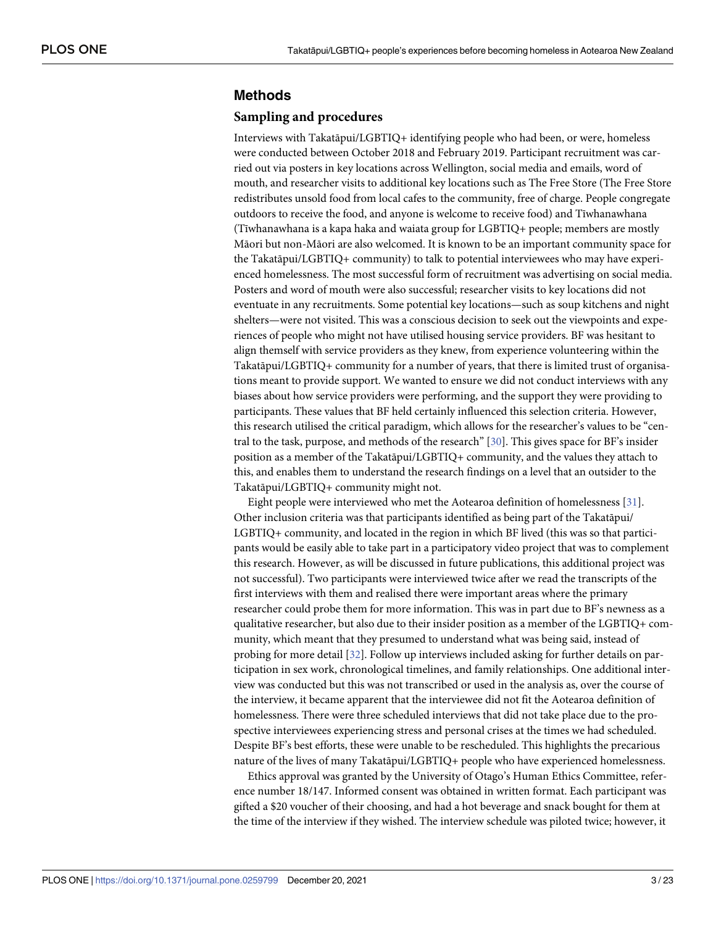## <span id="page-2-0"></span>**Methods**

#### **Sampling and procedures**

Interviews with Takatāpui/LGBTIQ+ identifying people who had been, or were, homeless were conducted between October 2018 and February 2019. Participant recruitment was carried out via posters in key locations across Wellington, social media and emails, word of mouth, and researcher visits to additional key locations such as The Free Store (The Free Store redistributes unsold food from local cafes to the community, free of charge. People congregate outdoors to receive the food, and anyone is welcome to receive food) and Tīwhanawhana (Tīwhanawhana is a kapa haka and waiata group for LGBTIQ+ people; members are mostly Māori but non-Māori are also welcomed. It is known to be an important community space for the Takatāpui/LGBTIQ+ community) to talk to potential interviewees who may have experienced homelessness. The most successful form of recruitment was advertising on social media. Posters and word of mouth were also successful; researcher visits to key locations did not eventuate in any recruitments. Some potential key locations—such as soup kitchens and night shelters—were not visited. This was a conscious decision to seek out the viewpoints and experiences of people who might not have utilised housing service providers. BF was hesitant to align themself with service providers as they knew, from experience volunteering within the Takatāpui/LGBTIQ+ community for a number of years, that there is limited trust of organisations meant to provide support. We wanted to ensure we did not conduct interviews with any biases about how service providers were performing, and the support they were providing to participants. These values that BF held certainly influenced this selection criteria. However, this research utilised the critical paradigm, which allows for the researcher's values to be "cen-tral to the task, purpose, and methods of the research" [[30](#page-19-0)]. This gives space for BF's insider position as a member of the Takatāpui/LGBTIQ+ community, and the values they attach to this, and enables them to understand the research findings on a level that an outsider to the Takatāpui/LGBTIQ+ community might not.

Eight people were interviewed who met the Aotearoa definition of homelessness [[31](#page-19-0)]. Other inclusion criteria was that participants identified as being part of the Takatāpui/ LGBTIQ+ community, and located in the region in which BF lived (this was so that participants would be easily able to take part in a participatory video project that was to complement this research. However, as will be discussed in future publications, this additional project was not successful). Two participants were interviewed twice after we read the transcripts of the first interviews with them and realised there were important areas where the primary researcher could probe them for more information. This was in part due to BF's newness as a qualitative researcher, but also due to their insider position as a member of the LGBTIQ+ community, which meant that they presumed to understand what was being said, instead of probing for more detail [[32](#page-19-0)]. Follow up interviews included asking for further details on participation in sex work, chronological timelines, and family relationships. One additional interview was conducted but this was not transcribed or used in the analysis as, over the course of the interview, it became apparent that the interviewee did not fit the Aotearoa definition of homelessness. There were three scheduled interviews that did not take place due to the prospective interviewees experiencing stress and personal crises at the times we had scheduled. Despite BF's best efforts, these were unable to be rescheduled. This highlights the precarious nature of the lives of many Takatāpui/LGBTIQ+ people who have experienced homelessness.

Ethics approval was granted by the University of Otago's Human Ethics Committee, reference number 18/147. Informed consent was obtained in written format. Each participant was gifted a \$20 voucher of their choosing, and had a hot beverage and snack bought for them at the time of the interview if they wished. The interview schedule was piloted twice; however, it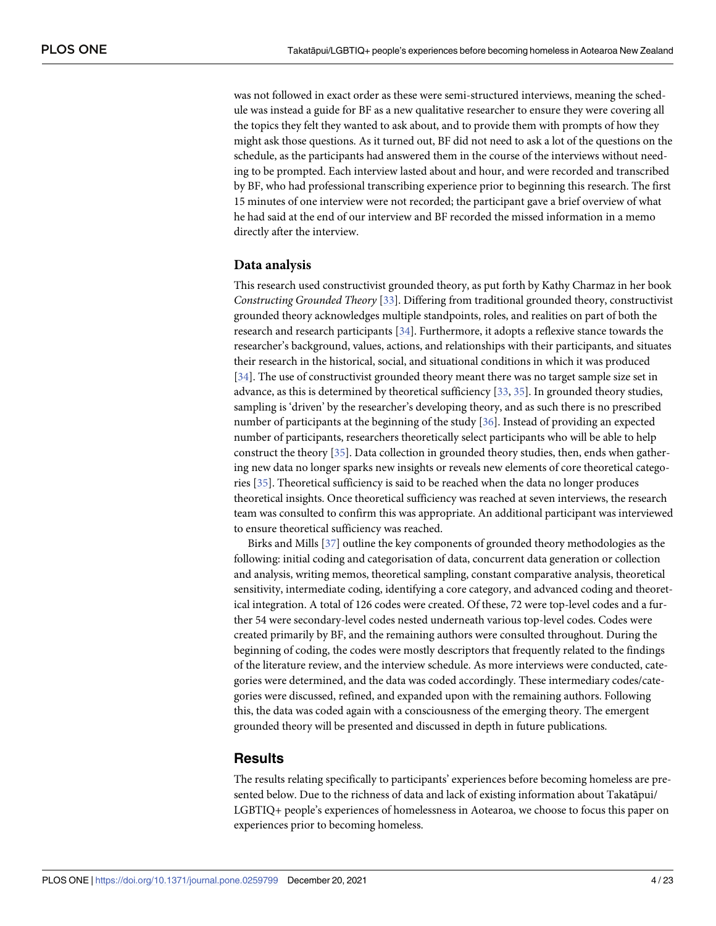<span id="page-3-0"></span>was not followed in exact order as these were semi-structured interviews, meaning the schedule was instead a guide for BF as a new qualitative researcher to ensure they were covering all the topics they felt they wanted to ask about, and to provide them with prompts of how they might ask those questions. As it turned out, BF did not need to ask a lot of the questions on the schedule, as the participants had answered them in the course of the interviews without needing to be prompted. Each interview lasted about and hour, and were recorded and transcribed by BF, who had professional transcribing experience prior to beginning this research. The first 15 minutes of one interview were not recorded; the participant gave a brief overview of what he had said at the end of our interview and BF recorded the missed information in a memo directly after the interview.

#### **Data analysis**

This research used constructivist grounded theory, as put forth by Kathy Charmaz in her book *Constructing Grounded Theory* [[33](#page-19-0)]. Differing from traditional grounded theory, constructivist grounded theory acknowledges multiple standpoints, roles, and realities on part of both the research and research participants [\[34\]](#page-20-0). Furthermore, it adopts a reflexive stance towards the researcher's background, values, actions, and relationships with their participants, and situates their research in the historical, social, and situational conditions in which it was produced [\[34\]](#page-20-0). The use of constructivist grounded theory meant there was no target sample size set in advance, as this is determined by theoretical sufficiency [\[33,](#page-19-0) [35\]](#page-20-0). In grounded theory studies, sampling is 'driven' by the researcher's developing theory, and as such there is no prescribed number of participants at the beginning of the study [[36](#page-20-0)]. Instead of providing an expected number of participants, researchers theoretically select participants who will be able to help construct the theory [[35](#page-20-0)]. Data collection in grounded theory studies, then, ends when gathering new data no longer sparks new insights or reveals new elements of core theoretical categories [[35](#page-20-0)]. Theoretical sufficiency is said to be reached when the data no longer produces theoretical insights. Once theoretical sufficiency was reached at seven interviews, the research team was consulted to confirm this was appropriate. An additional participant was interviewed to ensure theoretical sufficiency was reached.

Birks and Mills [\[37](#page-20-0)] outline the key components of grounded theory methodologies as the following: initial coding and categorisation of data, concurrent data generation or collection and analysis, writing memos, theoretical sampling, constant comparative analysis, theoretical sensitivity, intermediate coding, identifying a core category, and advanced coding and theoretical integration. A total of 126 codes were created. Of these, 72 were top-level codes and a further 54 were secondary-level codes nested underneath various top-level codes. Codes were created primarily by BF, and the remaining authors were consulted throughout. During the beginning of coding, the codes were mostly descriptors that frequently related to the findings of the literature review, and the interview schedule. As more interviews were conducted, categories were determined, and the data was coded accordingly. These intermediary codes/categories were discussed, refined, and expanded upon with the remaining authors. Following this, the data was coded again with a consciousness of the emerging theory. The emergent grounded theory will be presented and discussed in depth in future publications.

#### **Results**

The results relating specifically to participants' experiences before becoming homeless are presented below. Due to the richness of data and lack of existing information about Takatāpui/ LGBTIQ+ people's experiences of homelessness in Aotearoa, we choose to focus this paper on experiences prior to becoming homeless.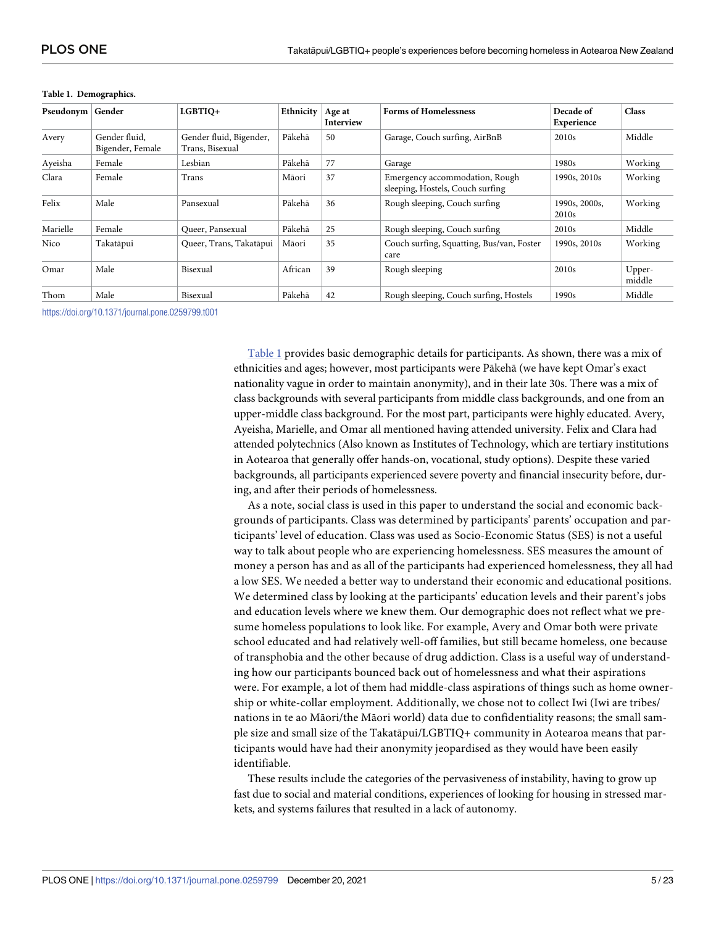| Pseudonym | Gender                            | LGBTIQ+                                    | Ethnicity | Age at<br>Interview | <b>Forms of Homelessness</b>                                       | Decade of<br>Experience            | <b>Class</b>     |
|-----------|-----------------------------------|--------------------------------------------|-----------|---------------------|--------------------------------------------------------------------|------------------------------------|------------------|
| Avery     | Gender fluid,<br>Bigender, Female | Gender fluid, Bigender,<br>Trans, Bisexual | Pākehā    | 50                  | Garage, Couch surfing, AirBnB                                      | 2010 <sub>s</sub>                  | Middle           |
| Ayeisha   | Female                            | Lesbian                                    | Pākehā    | 77                  | Garage                                                             | 1980s                              | Working          |
| Clara     | Female                            | Trans                                      | Māori     | 37                  | Emergency accommodation, Rough<br>sleeping, Hostels, Couch surfing | 1990s, 2010s                       | Working          |
| Felix     | Male                              | Pansexual                                  | Pākehā    | 36                  | Rough sleeping, Couch surfing                                      | 1990s, 2000s.<br>2010 <sub>s</sub> | Working          |
| Marielle  | Female                            | Oueer, Pansexual                           | Pākehā    | 25                  | Rough sleeping, Couch surfing                                      | 2010 <sub>s</sub>                  | Middle           |
| Nico      | Takatāpui                         | Queer, Trans, Takatāpui                    | Māori     | 35                  | Couch surfing, Squatting, Bus/van, Foster<br>care                  | 1990s, 2010s                       | Working          |
| Omar      | Male                              | Bisexual                                   | African   | 39                  | Rough sleeping                                                     | 2010 <sub>s</sub>                  | Upper-<br>middle |
| Thom      | Male                              | Bisexual                                   | Pākehā    | 42                  | Rough sleeping, Couch surfing, Hostels                             | 1990s                              | Middle           |

#### **Table 1. Demographics.**

<https://doi.org/10.1371/journal.pone.0259799.t001>

Table 1 provides basic demographic details for participants. As shown, there was a mix of ethnicities and ages; however, most participants were Pākehā (we have kept Omar's exact nationality vague in order to maintain anonymity), and in their late 30s. There was a mix of class backgrounds with several participants from middle class backgrounds, and one from an upper-middle class background. For the most part, participants were highly educated. Avery, Ayeisha, Marielle, and Omar all mentioned having attended university. Felix and Clara had attended polytechnics (Also known as Institutes of Technology, which are tertiary institutions in Aotearoa that generally offer hands-on, vocational, study options). Despite these varied backgrounds, all participants experienced severe poverty and financial insecurity before, during, and after their periods of homelessness.

As a note, social class is used in this paper to understand the social and economic backgrounds of participants. Class was determined by participants' parents' occupation and participants' level of education. Class was used as Socio-Economic Status (SES) is not a useful way to talk about people who are experiencing homelessness. SES measures the amount of money a person has and as all of the participants had experienced homelessness, they all had a low SES. We needed a better way to understand their economic and educational positions. We determined class by looking at the participants' education levels and their parent's jobs and education levels where we knew them. Our demographic does not reflect what we presume homeless populations to look like. For example, Avery and Omar both were private school educated and had relatively well-off families, but still became homeless, one because of transphobia and the other because of drug addiction. Class is a useful way of understanding how our participants bounced back out of homelessness and what their aspirations were. For example, a lot of them had middle-class aspirations of things such as home ownership or white-collar employment. Additionally, we chose not to collect Iwi (Iwi are tribes/ nations in te ao Māori/the Māori world) data due to confidentiality reasons; the small sample size and small size of the Takatāpui/LGBTIQ+ community in Aotearoa means that participants would have had their anonymity jeopardised as they would have been easily identifiable.

These results include the categories of the pervasiveness of instability, having to grow up fast due to social and material conditions, experiences of looking for housing in stressed markets, and systems failures that resulted in a lack of autonomy.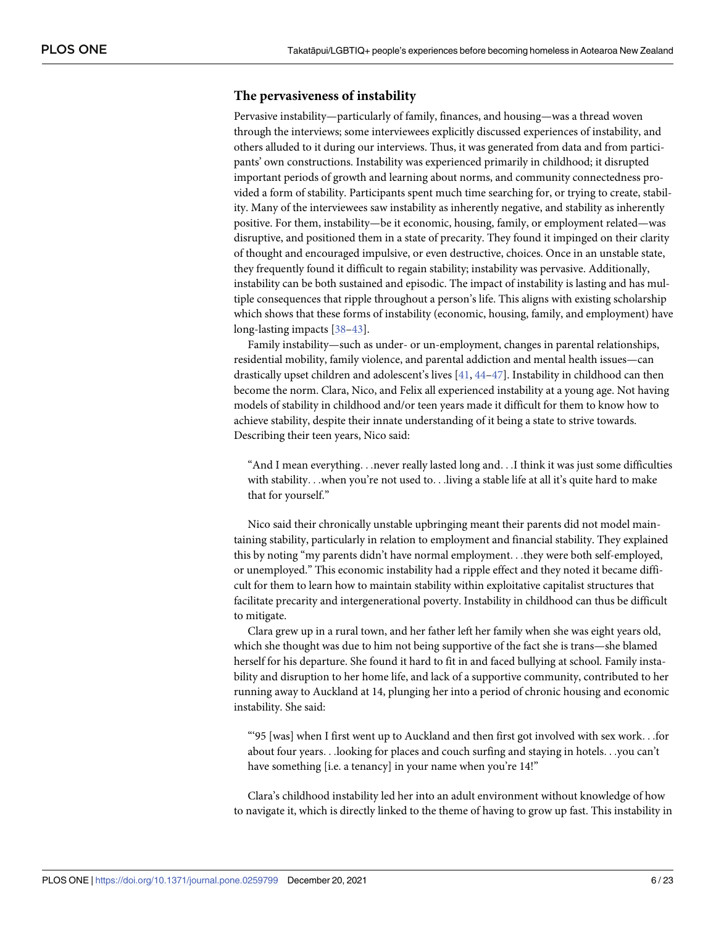#### <span id="page-5-0"></span>**The pervasiveness of instability**

Pervasive instability—particularly of family, finances, and housing—was a thread woven through the interviews; some interviewees explicitly discussed experiences of instability, and others alluded to it during our interviews. Thus, it was generated from data and from participants' own constructions. Instability was experienced primarily in childhood; it disrupted important periods of growth and learning about norms, and community connectedness provided a form of stability. Participants spent much time searching for, or trying to create, stability. Many of the interviewees saw instability as inherently negative, and stability as inherently positive. For them, instability—be it economic, housing, family, or employment related—was disruptive, and positioned them in a state of precarity. They found it impinged on their clarity of thought and encouraged impulsive, or even destructive, choices. Once in an unstable state, they frequently found it difficult to regain stability; instability was pervasive. Additionally, instability can be both sustained and episodic. The impact of instability is lasting and has multiple consequences that ripple throughout a person's life. This aligns with existing scholarship which shows that these forms of instability (economic, housing, family, and employment) have long-lasting impacts [\[38–43\]](#page-20-0).

Family instability—such as under- or un-employment, changes in parental relationships, residential mobility, family violence, and parental addiction and mental health issues—can drastically upset children and adolescent's lives [\[41,](#page-20-0) [44–47](#page-20-0)]. Instability in childhood can then become the norm. Clara, Nico, and Felix all experienced instability at a young age. Not having models of stability in childhood and/or teen years made it difficult for them to know how to achieve stability, despite their innate understanding of it being a state to strive towards. Describing their teen years, Nico said:

"And I mean everything. . .never really lasted long and. . .I think it was just some difficulties with stability. . .when you're not used to. . .living a stable life at all it's quite hard to make that for yourself."

Nico said their chronically unstable upbringing meant their parents did not model maintaining stability, particularly in relation to employment and financial stability. They explained this by noting "my parents didn't have normal employment. . .they were both self-employed, or unemployed." This economic instability had a ripple effect and they noted it became difficult for them to learn how to maintain stability within exploitative capitalist structures that facilitate precarity and intergenerational poverty. Instability in childhood can thus be difficult to mitigate.

Clara grew up in a rural town, and her father left her family when she was eight years old, which she thought was due to him not being supportive of the fact she is trans—she blamed herself for his departure. She found it hard to fit in and faced bullying at school. Family instability and disruption to her home life, and lack of a supportive community, contributed to her running away to Auckland at 14, plunging her into a period of chronic housing and economic instability. She said:

"'95 [was] when I first went up to Auckland and then first got involved with sex work. . .for about four years. . .looking for places and couch surfing and staying in hotels. . .you can't have something [i.e. a tenancy] in your name when you're 14!"

Clara's childhood instability led her into an adult environment without knowledge of how to navigate it, which is directly linked to the theme of having to grow up fast. This instability in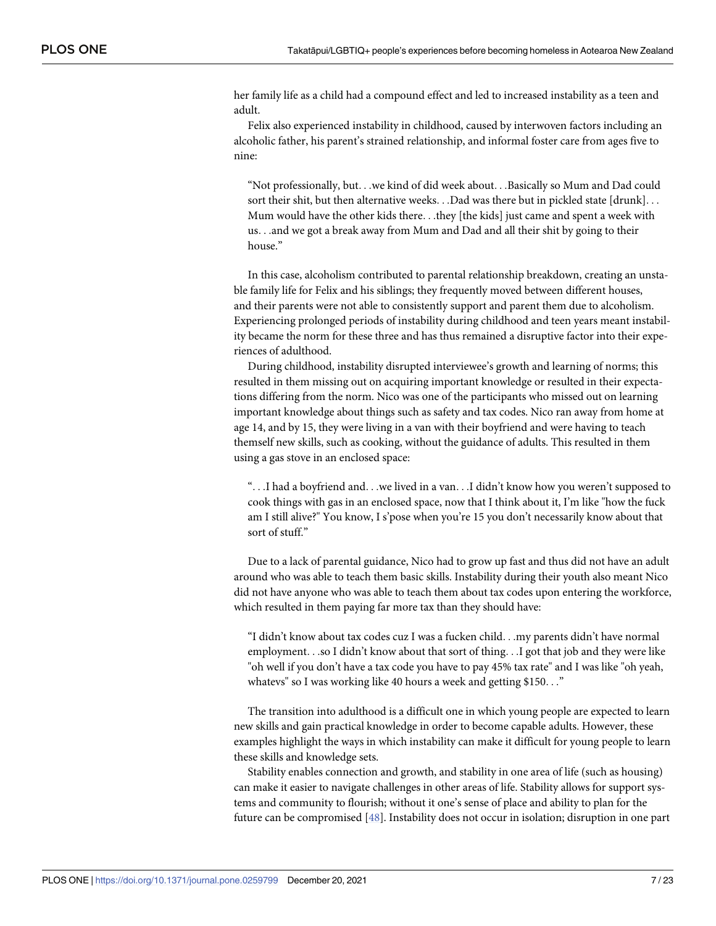<span id="page-6-0"></span>her family life as a child had a compound effect and led to increased instability as a teen and adult.

Felix also experienced instability in childhood, caused by interwoven factors including an alcoholic father, his parent's strained relationship, and informal foster care from ages five to nine:

"Not professionally, but. . .we kind of did week about. . .Basically so Mum and Dad could sort their shit, but then alternative weeks. . .Dad was there but in pickled state [drunk]. . . Mum would have the other kids there. . .they [the kids] just came and spent a week with us. . .and we got a break away from Mum and Dad and all their shit by going to their house."

In this case, alcoholism contributed to parental relationship breakdown, creating an unstable family life for Felix and his siblings; they frequently moved between different houses, and their parents were not able to consistently support and parent them due to alcoholism. Experiencing prolonged periods of instability during childhood and teen years meant instability became the norm for these three and has thus remained a disruptive factor into their experiences of adulthood.

During childhood, instability disrupted interviewee's growth and learning of norms; this resulted in them missing out on acquiring important knowledge or resulted in their expectations differing from the norm. Nico was one of the participants who missed out on learning important knowledge about things such as safety and tax codes. Nico ran away from home at age 14, and by 15, they were living in a van with their boyfriend and were having to teach themself new skills, such as cooking, without the guidance of adults. This resulted in them using a gas stove in an enclosed space:

". . .I had a boyfriend and. . .we lived in a van. . .I didn't know how you weren't supposed to cook things with gas in an enclosed space, now that I think about it, I'm like "how the fuck am I still alive?" You know, I s'pose when you're 15 you don't necessarily know about that sort of stuff."

Due to a lack of parental guidance, Nico had to grow up fast and thus did not have an adult around who was able to teach them basic skills. Instability during their youth also meant Nico did not have anyone who was able to teach them about tax codes upon entering the workforce, which resulted in them paying far more tax than they should have:

"I didn't know about tax codes cuz I was a fucken child. . .my parents didn't have normal employment. . .so I didn't know about that sort of thing. . .I got that job and they were like "oh well if you don't have a tax code you have to pay 45% tax rate" and I was like "oh yeah, whatevs" so I was working like 40 hours a week and getting \$150. . ."

The transition into adulthood is a difficult one in which young people are expected to learn new skills and gain practical knowledge in order to become capable adults. However, these examples highlight the ways in which instability can make it difficult for young people to learn these skills and knowledge sets.

Stability enables connection and growth, and stability in one area of life (such as housing) can make it easier to navigate challenges in other areas of life. Stability allows for support systems and community to flourish; without it one's sense of place and ability to plan for the future can be compromised [\[48\]](#page-20-0). Instability does not occur in isolation; disruption in one part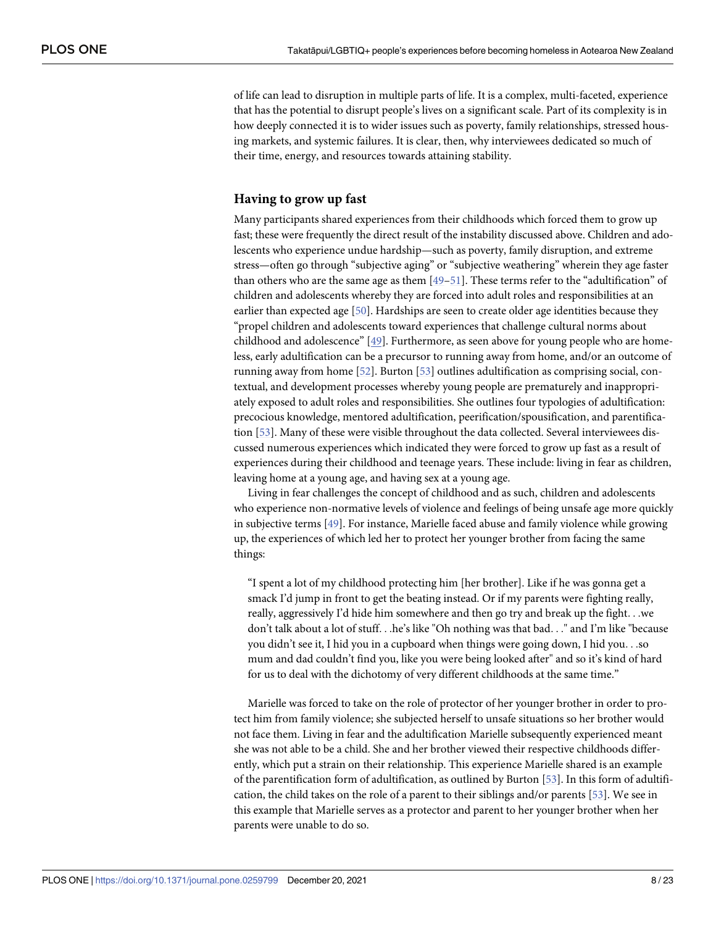<span id="page-7-0"></span>of life can lead to disruption in multiple parts of life. It is a complex, multi-faceted, experience that has the potential to disrupt people's lives on a significant scale. Part of its complexity is in how deeply connected it is to wider issues such as poverty, family relationships, stressed housing markets, and systemic failures. It is clear, then, why interviewees dedicated so much of their time, energy, and resources towards attaining stability.

#### **Having to grow up fast**

Many participants shared experiences from their childhoods which forced them to grow up fast; these were frequently the direct result of the instability discussed above. Children and adolescents who experience undue hardship—such as poverty, family disruption, and extreme stress—often go through "subjective aging" or "subjective weathering" wherein they age faster than others who are the same age as them [\[49–51\]](#page-20-0). These terms refer to the "adultification" of children and adolescents whereby they are forced into adult roles and responsibilities at an earlier than expected age [[50](#page-20-0)]. Hardships are seen to create older age identities because they "propel children and adolescents toward experiences that challenge cultural norms about childhood and adolescence"  $[49]$ . Furthermore, as seen above for young people who are homeless, early adultification can be a precursor to running away from home, and/or an outcome of running away from home [[52](#page-20-0)]. Burton [\[53\]](#page-20-0) outlines adultification as comprising social, contextual, and development processes whereby young people are prematurely and inappropriately exposed to adult roles and responsibilities. She outlines four typologies of adultification: precocious knowledge, mentored adultification, peerification/spousification, and parentification [[53](#page-20-0)]. Many of these were visible throughout the data collected. Several interviewees discussed numerous experiences which indicated they were forced to grow up fast as a result of experiences during their childhood and teenage years. These include: living in fear as children, leaving home at a young age, and having sex at a young age.

Living in fear challenges the concept of childhood and as such, children and adolescents who experience non-normative levels of violence and feelings of being unsafe age more quickly in subjective terms [\[49\]](#page-20-0). For instance, Marielle faced abuse and family violence while growing up, the experiences of which led her to protect her younger brother from facing the same things:

"I spent a lot of my childhood protecting him [her brother]. Like if he was gonna get a smack I'd jump in front to get the beating instead. Or if my parents were fighting really, really, aggressively I'd hide him somewhere and then go try and break up the fight. . .we don't talk about a lot of stuff. . .he's like "Oh nothing was that bad. . ." and I'm like "because you didn't see it, I hid you in a cupboard when things were going down, I hid you. . .so mum and dad couldn't find you, like you were being looked after" and so it's kind of hard for us to deal with the dichotomy of very different childhoods at the same time."

Marielle was forced to take on the role of protector of her younger brother in order to protect him from family violence; she subjected herself to unsafe situations so her brother would not face them. Living in fear and the adultification Marielle subsequently experienced meant she was not able to be a child. She and her brother viewed their respective childhoods differently, which put a strain on their relationship. This experience Marielle shared is an example of the parentification form of adultification, as outlined by Burton [[53](#page-20-0)]. In this form of adultification, the child takes on the role of a parent to their siblings and/or parents [[53](#page-20-0)]. We see in this example that Marielle serves as a protector and parent to her younger brother when her parents were unable to do so.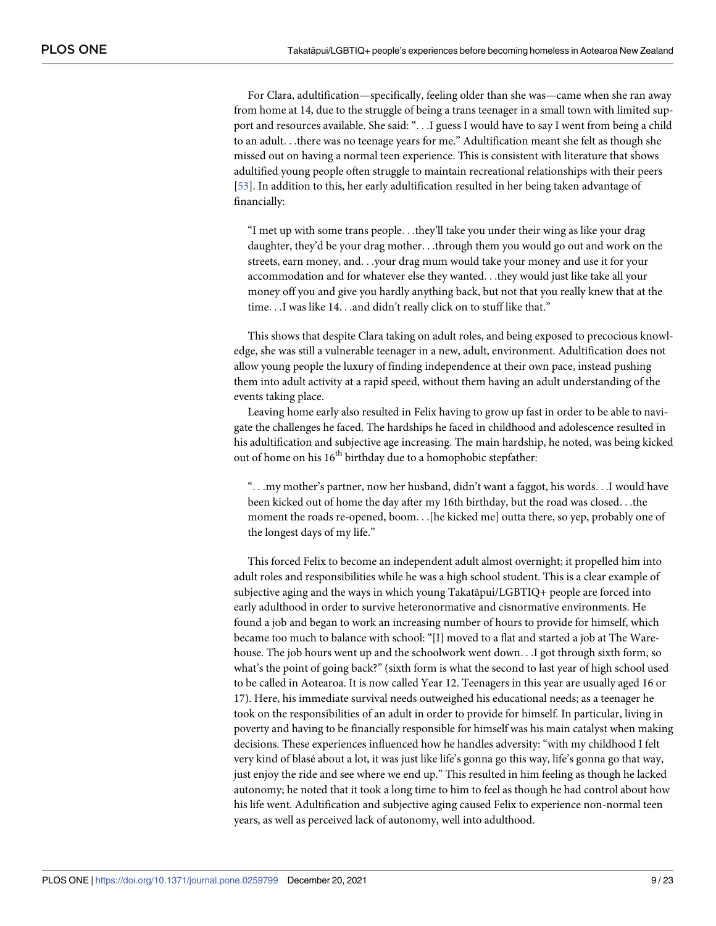For Clara, adultification—specifically, feeling older than she was—came when she ran away from home at 14, due to the struggle of being a trans teenager in a small town with limited support and resources available. She said: ". . .I guess I would have to say I went from being a child to an adult. . .there was no teenage years for me." Adultification meant she felt as though she missed out on having a normal teen experience. This is consistent with literature that shows adultified young people often struggle to maintain recreational relationships with their peers [\[53\]](#page-20-0). In addition to this, her early adultification resulted in her being taken advantage of financially:

"I met up with some trans people. . .they'll take you under their wing as like your drag daughter, they'd be your drag mother. . .through them you would go out and work on the streets, earn money, and. . .your drag mum would take your money and use it for your accommodation and for whatever else they wanted. . .they would just like take all your money off you and give you hardly anything back, but not that you really knew that at the time. . .I was like 14. . .and didn't really click on to stuff like that."

This shows that despite Clara taking on adult roles, and being exposed to precocious knowledge, she was still a vulnerable teenager in a new, adult, environment. Adultification does not allow young people the luxury of finding independence at their own pace, instead pushing them into adult activity at a rapid speed, without them having an adult understanding of the events taking place.

Leaving home early also resulted in Felix having to grow up fast in order to be able to navigate the challenges he faced. The hardships he faced in childhood and adolescence resulted in his adultification and subjective age increasing. The main hardship, he noted, was being kicked out of home on his 16<sup>th</sup> birthday due to a homophobic stepfather:

". . .my mother's partner, now her husband, didn't want a faggot, his words. . .I would have been kicked out of home the day after my 16th birthday, but the road was closed. . .the moment the roads re-opened, boom. . .[he kicked me] outta there, so yep, probably one of the longest days of my life."

This forced Felix to become an independent adult almost overnight; it propelled him into adult roles and responsibilities while he was a high school student. This is a clear example of subjective aging and the ways in which young Takatāpui/LGBTIQ+ people are forced into early adulthood in order to survive heteronormative and cisnormative environments. He found a job and began to work an increasing number of hours to provide for himself, which became too much to balance with school: "[I] moved to a flat and started a job at The Warehouse. The job hours went up and the schoolwork went down. . .I got through sixth form, so what's the point of going back?" (sixth form is what the second to last year of high school used to be called in Aotearoa. It is now called Year 12. Teenagers in this year are usually aged 16 or 17). Here, his immediate survival needs outweighed his educational needs; as a teenager he took on the responsibilities of an adult in order to provide for himself. In particular, living in poverty and having to be financially responsible for himself was his main catalyst when making decisions. These experiences influenced how he handles adversity: "with my childhood I felt very kind of blasé about a lot, it was just like life's gonna go this way, life's gonna go that way, just enjoy the ride and see where we end up." This resulted in him feeling as though he lacked autonomy; he noted that it took a long time to him to feel as though he had control about how his life went. Adultification and subjective aging caused Felix to experience non-normal teen years, as well as perceived lack of autonomy, well into adulthood.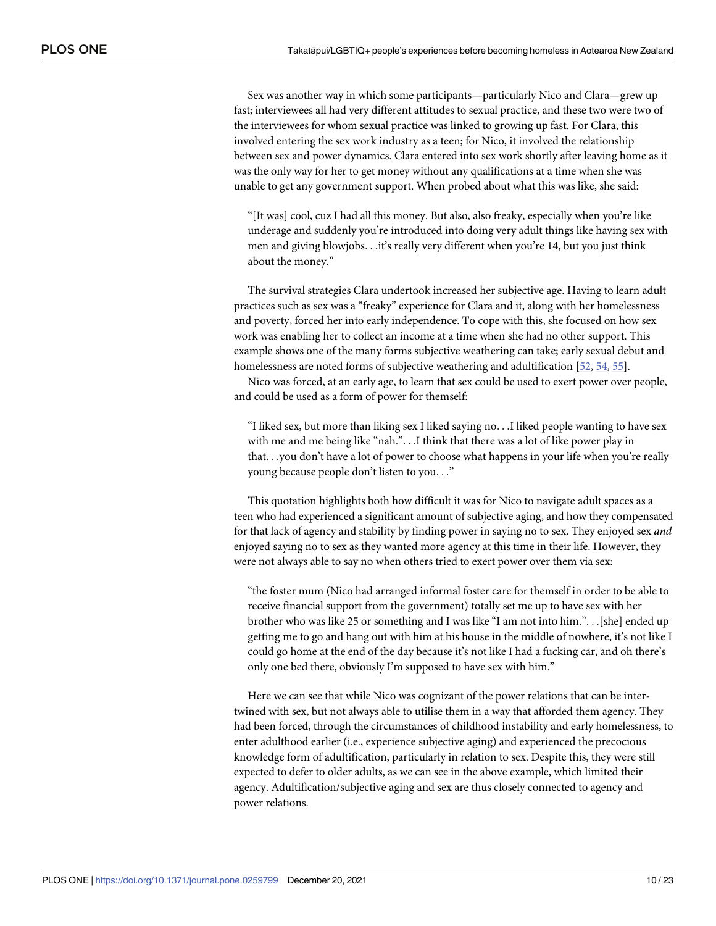<span id="page-9-0"></span>Sex was another way in which some participants—particularly Nico and Clara—grew up fast; interviewees all had very different attitudes to sexual practice, and these two were two of the interviewees for whom sexual practice was linked to growing up fast. For Clara, this involved entering the sex work industry as a teen; for Nico, it involved the relationship between sex and power dynamics. Clara entered into sex work shortly after leaving home as it was the only way for her to get money without any qualifications at a time when she was unable to get any government support. When probed about what this was like, she said:

"[It was] cool, cuz I had all this money. But also, also freaky, especially when you're like underage and suddenly you're introduced into doing very adult things like having sex with men and giving blowjobs. . .it's really very different when you're 14, but you just think about the money."

The survival strategies Clara undertook increased her subjective age. Having to learn adult practices such as sex was a "freaky" experience for Clara and it, along with her homelessness and poverty, forced her into early independence. To cope with this, she focused on how sex work was enabling her to collect an income at a time when she had no other support. This example shows one of the many forms subjective weathering can take; early sexual debut and homelessness are noted forms of subjective weathering and adultification [[52](#page-20-0), [54](#page-20-0), [55](#page-20-0)].

Nico was forced, at an early age, to learn that sex could be used to exert power over people, and could be used as a form of power for themself:

"I liked sex, but more than liking sex I liked saying no. . .I liked people wanting to have sex with me and me being like "nah.". . .I think that there was a lot of like power play in that. . .you don't have a lot of power to choose what happens in your life when you're really young because people don't listen to you. . ."

This quotation highlights both how difficult it was for Nico to navigate adult spaces as a teen who had experienced a significant amount of subjective aging, and how they compensated for that lack of agency and stability by finding power in saying no to sex. They enjoyed sex *and* enjoyed saying no to sex as they wanted more agency at this time in their life. However, they were not always able to say no when others tried to exert power over them via sex:

"the foster mum (Nico had arranged informal foster care for themself in order to be able to receive financial support from the government) totally set me up to have sex with her brother who was like 25 or something and I was like "I am not into him.". . .[she] ended up getting me to go and hang out with him at his house in the middle of nowhere, it's not like I could go home at the end of the day because it's not like I had a fucking car, and oh there's only one bed there, obviously I'm supposed to have sex with him."

Here we can see that while Nico was cognizant of the power relations that can be intertwined with sex, but not always able to utilise them in a way that afforded them agency. They had been forced, through the circumstances of childhood instability and early homelessness, to enter adulthood earlier (i.e., experience subjective aging) and experienced the precocious knowledge form of adultification, particularly in relation to sex. Despite this, they were still expected to defer to older adults, as we can see in the above example, which limited their agency. Adultification/subjective aging and sex are thus closely connected to agency and power relations.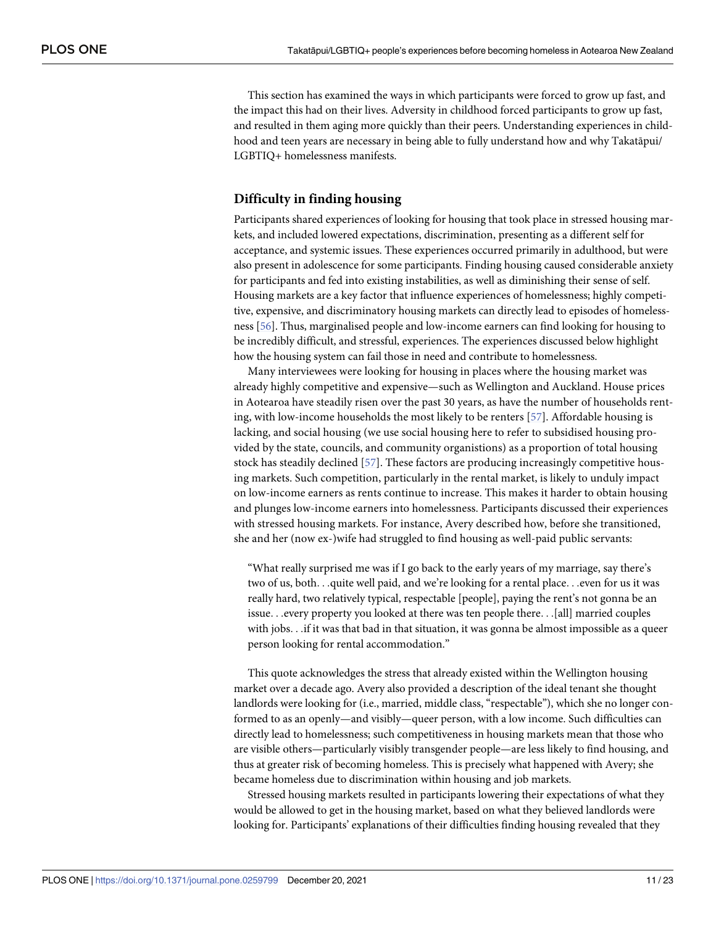<span id="page-10-0"></span>This section has examined the ways in which participants were forced to grow up fast, and the impact this had on their lives. Adversity in childhood forced participants to grow up fast, and resulted in them aging more quickly than their peers. Understanding experiences in childhood and teen years are necessary in being able to fully understand how and why Takatāpui/ LGBTIQ+ homelessness manifests.

#### **Difficulty in finding housing**

Participants shared experiences of looking for housing that took place in stressed housing markets, and included lowered expectations, discrimination, presenting as a different self for acceptance, and systemic issues. These experiences occurred primarily in adulthood, but were also present in adolescence for some participants. Finding housing caused considerable anxiety for participants and fed into existing instabilities, as well as diminishing their sense of self. Housing markets are a key factor that influence experiences of homelessness; highly competitive, expensive, and discriminatory housing markets can directly lead to episodes of homelessness [[56](#page-20-0)]. Thus, marginalised people and low-income earners can find looking for housing to be incredibly difficult, and stressful, experiences. The experiences discussed below highlight how the housing system can fail those in need and contribute to homelessness.

Many interviewees were looking for housing in places where the housing market was already highly competitive and expensive—such as Wellington and Auckland. House prices in Aotearoa have steadily risen over the past 30 years, as have the number of households renting, with low-income households the most likely to be renters [[57\]](#page-21-0). Affordable housing is lacking, and social housing (we use social housing here to refer to subsidised housing provided by the state, councils, and community organistions) as a proportion of total housing stock has steadily declined [\[57\]](#page-21-0). These factors are producing increasingly competitive housing markets. Such competition, particularly in the rental market, is likely to unduly impact on low-income earners as rents continue to increase. This makes it harder to obtain housing and plunges low-income earners into homelessness. Participants discussed their experiences with stressed housing markets. For instance, Avery described how, before she transitioned, she and her (now ex-)wife had struggled to find housing as well-paid public servants:

"What really surprised me was if I go back to the early years of my marriage, say there's two of us, both. . .quite well paid, and we're looking for a rental place. . .even for us it was really hard, two relatively typical, respectable [people], paying the rent's not gonna be an issue. . .every property you looked at there was ten people there. . .[all] married couples with jobs. . .if it was that bad in that situation, it was gonna be almost impossible as a queer person looking for rental accommodation."

This quote acknowledges the stress that already existed within the Wellington housing market over a decade ago. Avery also provided a description of the ideal tenant she thought landlords were looking for (i.e., married, middle class, "respectable"), which she no longer conformed to as an openly—and visibly—queer person, with a low income. Such difficulties can directly lead to homelessness; such competitiveness in housing markets mean that those who are visible others—particularly visibly transgender people—are less likely to find housing, and thus at greater risk of becoming homeless. This is precisely what happened with Avery; she became homeless due to discrimination within housing and job markets.

Stressed housing markets resulted in participants lowering their expectations of what they would be allowed to get in the housing market, based on what they believed landlords were looking for. Participants' explanations of their difficulties finding housing revealed that they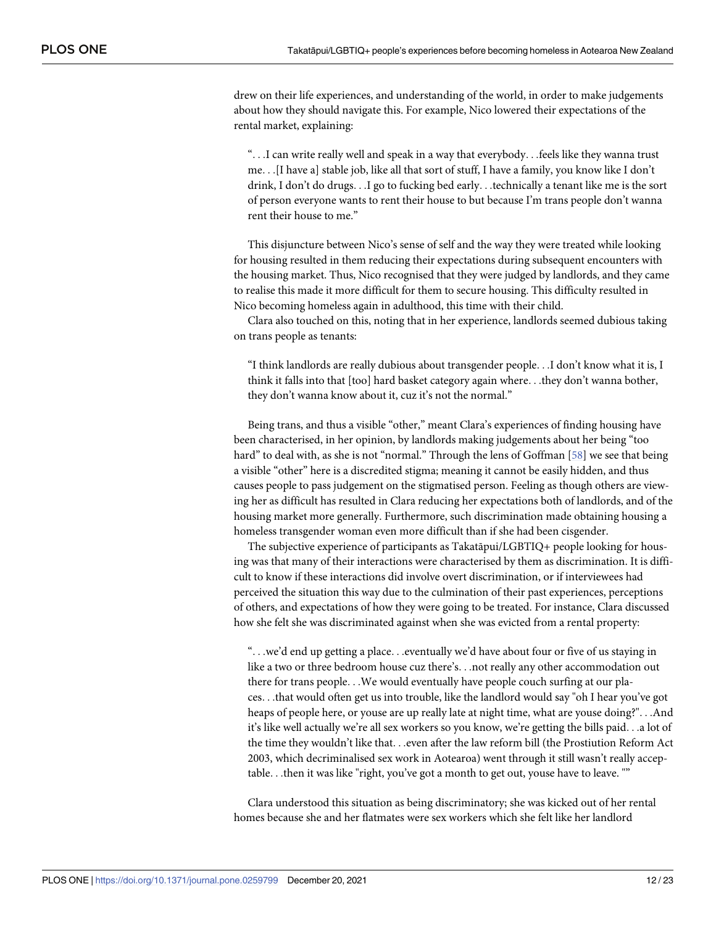<span id="page-11-0"></span>drew on their life experiences, and understanding of the world, in order to make judgements about how they should navigate this. For example, Nico lowered their expectations of the rental market, explaining:

". . .I can write really well and speak in a way that everybody. . .feels like they wanna trust me. . .[I have a] stable job, like all that sort of stuff, I have a family, you know like I don't drink, I don't do drugs. . .I go to fucking bed early. . .technically a tenant like me is the sort of person everyone wants to rent their house to but because I'm trans people don't wanna rent their house to me."

This disjuncture between Nico's sense of self and the way they were treated while looking for housing resulted in them reducing their expectations during subsequent encounters with the housing market. Thus, Nico recognised that they were judged by landlords, and they came to realise this made it more difficult for them to secure housing. This difficulty resulted in Nico becoming homeless again in adulthood, this time with their child.

Clara also touched on this, noting that in her experience, landlords seemed dubious taking on trans people as tenants:

"I think landlords are really dubious about transgender people. . .I don't know what it is, I think it falls into that [too] hard basket category again where. . .they don't wanna bother, they don't wanna know about it, cuz it's not the normal."

Being trans, and thus a visible "other," meant Clara's experiences of finding housing have been characterised, in her opinion, by landlords making judgements about her being "too hard" to deal with, as she is not "normal." Through the lens of Goffman [\[58\]](#page-21-0) we see that being a visible "other" here is a discredited stigma; meaning it cannot be easily hidden, and thus causes people to pass judgement on the stigmatised person. Feeling as though others are viewing her as difficult has resulted in Clara reducing her expectations both of landlords, and of the housing market more generally. Furthermore, such discrimination made obtaining housing a homeless transgender woman even more difficult than if she had been cisgender.

The subjective experience of participants as Takatāpui/LGBTIQ+ people looking for housing was that many of their interactions were characterised by them as discrimination. It is difficult to know if these interactions did involve overt discrimination, or if interviewees had perceived the situation this way due to the culmination of their past experiences, perceptions of others, and expectations of how they were going to be treated. For instance, Clara discussed how she felt she was discriminated against when she was evicted from a rental property:

"...we'd end up getting a place...eventually we'd have about four or five of us staying in like a two or three bedroom house cuz there's. . .not really any other accommodation out there for trans people. . .We would eventually have people couch surfing at our places. . .that would often get us into trouble, like the landlord would say "oh I hear you've got heaps of people here, or youse are up really late at night time, what are youse doing?". . .And it's like well actually we're all sex workers so you know, we're getting the bills paid. . .a lot of the time they wouldn't like that. . .even after the law reform bill (the Prostiution Reform Act 2003, which decriminalised sex work in Aotearoa) went through it still wasn't really acceptable. . .then it was like "right, you've got a month to get out, youse have to leave. ""

Clara understood this situation as being discriminatory; she was kicked out of her rental homes because she and her flatmates were sex workers which she felt like her landlord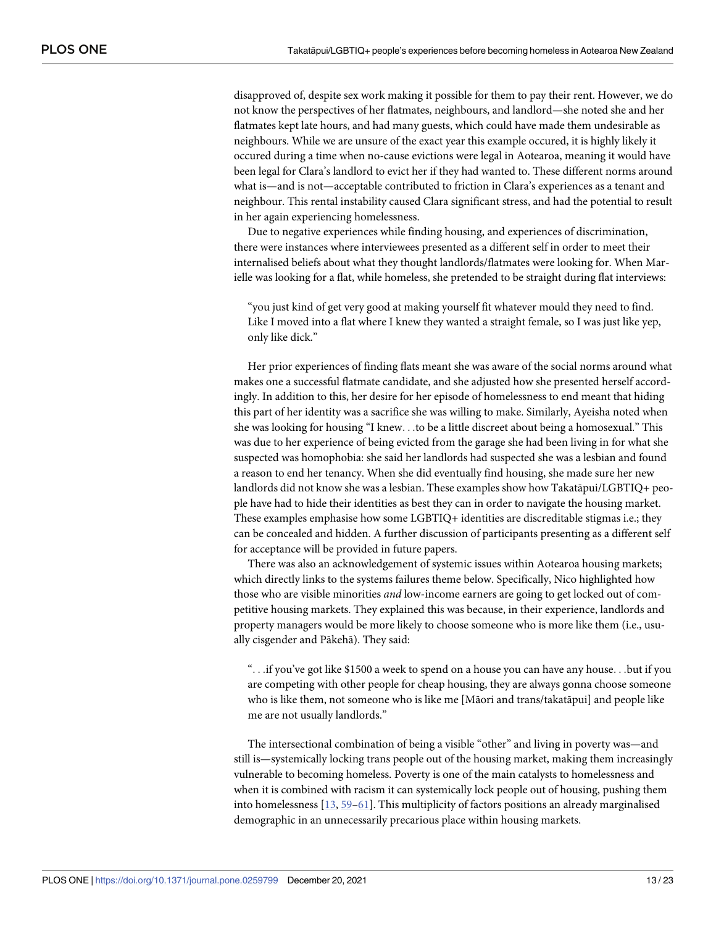<span id="page-12-0"></span>disapproved of, despite sex work making it possible for them to pay their rent. However, we do not know the perspectives of her flatmates, neighbours, and landlord—she noted she and her flatmates kept late hours, and had many guests, which could have made them undesirable as neighbours. While we are unsure of the exact year this example occured, it is highly likely it occured during a time when no-cause evictions were legal in Aotearoa, meaning it would have been legal for Clara's landlord to evict her if they had wanted to. These different norms around what is—and is not—acceptable contributed to friction in Clara's experiences as a tenant and neighbour. This rental instability caused Clara significant stress, and had the potential to result in her again experiencing homelessness.

Due to negative experiences while finding housing, and experiences of discrimination, there were instances where interviewees presented as a different self in order to meet their internalised beliefs about what they thought landlords/flatmates were looking for. When Marielle was looking for a flat, while homeless, she pretended to be straight during flat interviews:

"you just kind of get very good at making yourself fit whatever mould they need to find. Like I moved into a flat where I knew they wanted a straight female, so I was just like yep, only like dick."

Her prior experiences of finding flats meant she was aware of the social norms around what makes one a successful flatmate candidate, and she adjusted how she presented herself accordingly. In addition to this, her desire for her episode of homelessness to end meant that hiding this part of her identity was a sacrifice she was willing to make. Similarly, Ayeisha noted when she was looking for housing "I knew. . .to be a little discreet about being a homosexual." This was due to her experience of being evicted from the garage she had been living in for what she suspected was homophobia: she said her landlords had suspected she was a lesbian and found a reason to end her tenancy. When she did eventually find housing, she made sure her new landlords did not know she was a lesbian. These examples show how Takatāpui/LGBTIQ+ people have had to hide their identities as best they can in order to navigate the housing market. These examples emphasise how some LGBTIQ+ identities are discreditable stigmas i.e.; they can be concealed and hidden. A further discussion of participants presenting as a different self for acceptance will be provided in future papers.

There was also an acknowledgement of systemic issues within Aotearoa housing markets; which directly links to the systems failures theme below. Specifically, Nico highlighted how those who are visible minorities *and* low-income earners are going to get locked out of competitive housing markets. They explained this was because, in their experience, landlords and property managers would be more likely to choose someone who is more like them (i.e., usually cisgender and Pākehā). They said:

". . .if you've got like \$1500 a week to spend on a house you can have any house. . .but if you are competing with other people for cheap housing, they are always gonna choose someone who is like them, not someone who is like me [Māori and trans/takatāpui] and people like me are not usually landlords."

The intersectional combination of being a visible "other" and living in poverty was—and still is—systemically locking trans people out of the housing market, making them increasingly vulnerable to becoming homeless. Poverty is one of the main catalysts to homelessness and when it is combined with racism it can systemically lock people out of housing, pushing them into homelessness [[13](#page-19-0), [59–61\]](#page-21-0). This multiplicity of factors positions an already marginalised demographic in an unnecessarily precarious place within housing markets.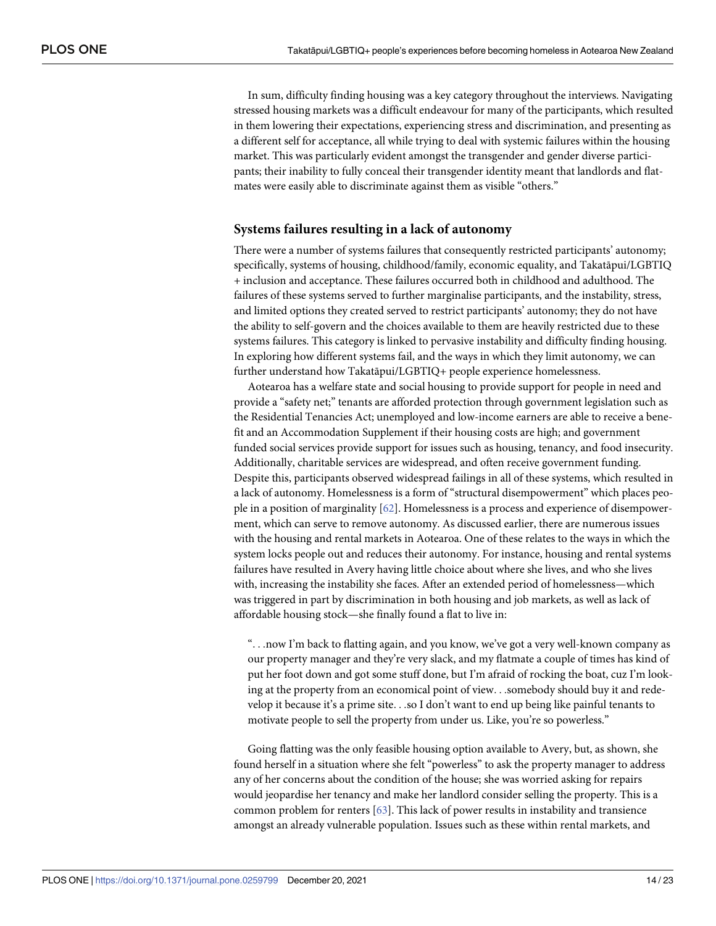<span id="page-13-0"></span>In sum, difficulty finding housing was a key category throughout the interviews. Navigating stressed housing markets was a difficult endeavour for many of the participants, which resulted in them lowering their expectations, experiencing stress and discrimination, and presenting as a different self for acceptance, all while trying to deal with systemic failures within the housing market. This was particularly evident amongst the transgender and gender diverse participants; their inability to fully conceal their transgender identity meant that landlords and flatmates were easily able to discriminate against them as visible "others."

#### **Systems failures resulting in a lack of autonomy**

There were a number of systems failures that consequently restricted participants' autonomy; specifically, systems of housing, childhood/family, economic equality, and Takatāpui/LGBTIQ + inclusion and acceptance. These failures occurred both in childhood and adulthood. The failures of these systems served to further marginalise participants, and the instability, stress, and limited options they created served to restrict participants' autonomy; they do not have the ability to self-govern and the choices available to them are heavily restricted due to these systems failures. This category is linked to pervasive instability and difficulty finding housing. In exploring how different systems fail, and the ways in which they limit autonomy, we can further understand how Takatāpui/LGBTIQ+ people experience homelessness.

Aotearoa has a welfare state and social housing to provide support for people in need and provide a "safety net;" tenants are afforded protection through government legislation such as the Residential Tenancies Act; unemployed and low-income earners are able to receive a benefit and an Accommodation Supplement if their housing costs are high; and government funded social services provide support for issues such as housing, tenancy, and food insecurity. Additionally, charitable services are widespread, and often receive government funding. Despite this, participants observed widespread failings in all of these systems, which resulted in a lack of autonomy. Homelessness is a form of "structural disempowerment" which places people in a position of marginality [[62](#page-21-0)]. Homelessness is a process and experience of disempowerment, which can serve to remove autonomy. As discussed earlier, there are numerous issues with the housing and rental markets in Aotearoa. One of these relates to the ways in which the system locks people out and reduces their autonomy. For instance, housing and rental systems failures have resulted in Avery having little choice about where she lives, and who she lives with, increasing the instability she faces. After an extended period of homelessness—which was triggered in part by discrimination in both housing and job markets, as well as lack of affordable housing stock—she finally found a flat to live in:

". . .now I'm back to flatting again, and you know, we've got a very well-known company as our property manager and they're very slack, and my flatmate a couple of times has kind of put her foot down and got some stuff done, but I'm afraid of rocking the boat, cuz I'm looking at the property from an economical point of view. . .somebody should buy it and redevelop it because it's a prime site. . .so I don't want to end up being like painful tenants to motivate people to sell the property from under us. Like, you're so powerless."

Going flatting was the only feasible housing option available to Avery, but, as shown, she found herself in a situation where she felt "powerless" to ask the property manager to address any of her concerns about the condition of the house; she was worried asking for repairs would jeopardise her tenancy and make her landlord consider selling the property. This is a common problem for renters [\[63\]](#page-21-0). This lack of power results in instability and transience amongst an already vulnerable population. Issues such as these within rental markets, and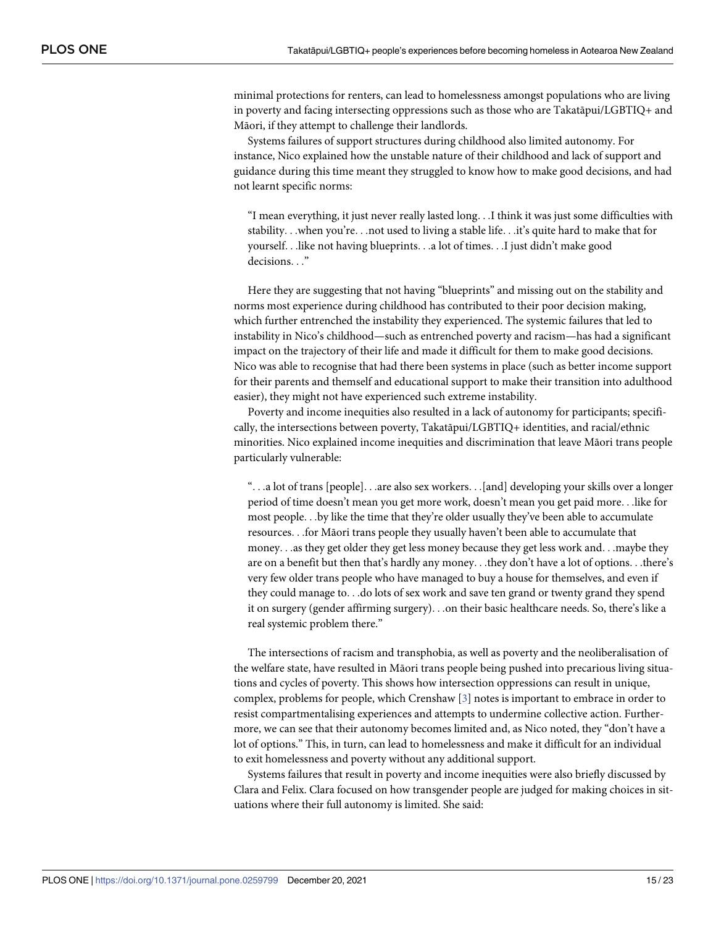minimal protections for renters, can lead to homelessness amongst populations who are living in poverty and facing intersecting oppressions such as those who are Takatāpui/LGBTIQ+ and Māori, if they attempt to challenge their landlords.

Systems failures of support structures during childhood also limited autonomy. For instance, Nico explained how the unstable nature of their childhood and lack of support and guidance during this time meant they struggled to know how to make good decisions, and had not learnt specific norms:

"I mean everything, it just never really lasted long. . .I think it was just some difficulties with stability. . .when you're. . .not used to living a stable life. . .it's quite hard to make that for yourself. . .like not having blueprints. . .a lot of times. . .I just didn't make good decisions. . ."

Here they are suggesting that not having "blueprints" and missing out on the stability and norms most experience during childhood has contributed to their poor decision making, which further entrenched the instability they experienced. The systemic failures that led to instability in Nico's childhood—such as entrenched poverty and racism—has had a significant impact on the trajectory of their life and made it difficult for them to make good decisions. Nico was able to recognise that had there been systems in place (such as better income support for their parents and themself and educational support to make their transition into adulthood easier), they might not have experienced such extreme instability.

Poverty and income inequities also resulted in a lack of autonomy for participants; specifically, the intersections between poverty, Takatāpui/LGBTIQ+ identities, and racial/ethnic minorities. Nico explained income inequities and discrimination that leave Māori trans people particularly vulnerable:

". . .a lot of trans [people]. . .are also sex workers. . .[and] developing your skills over a longer period of time doesn't mean you get more work, doesn't mean you get paid more. . .like for most people. . .by like the time that they're older usually they've been able to accumulate resources. . .for Māori trans people they usually haven't been able to accumulate that money. . .as they get older they get less money because they get less work and. . .maybe they are on a benefit but then that's hardly any money. . .they don't have a lot of options. . .there's very few older trans people who have managed to buy a house for themselves, and even if they could manage to. . .do lots of sex work and save ten grand or twenty grand they spend it on surgery (gender affirming surgery). . .on their basic healthcare needs. So, there's like a real systemic problem there."

The intersections of racism and transphobia, as well as poverty and the neoliberalisation of the welfare state, have resulted in Māori trans people being pushed into precarious living situations and cycles of poverty. This shows how intersection oppressions can result in unique, complex, problems for people, which Crenshaw [\[3\]](#page-18-0) notes is important to embrace in order to resist compartmentalising experiences and attempts to undermine collective action. Furthermore, we can see that their autonomy becomes limited and, as Nico noted, they "don't have a lot of options." This, in turn, can lead to homelessness and make it difficult for an individual to exit homelessness and poverty without any additional support.

Systems failures that result in poverty and income inequities were also briefly discussed by Clara and Felix. Clara focused on how transgender people are judged for making choices in situations where their full autonomy is limited. She said: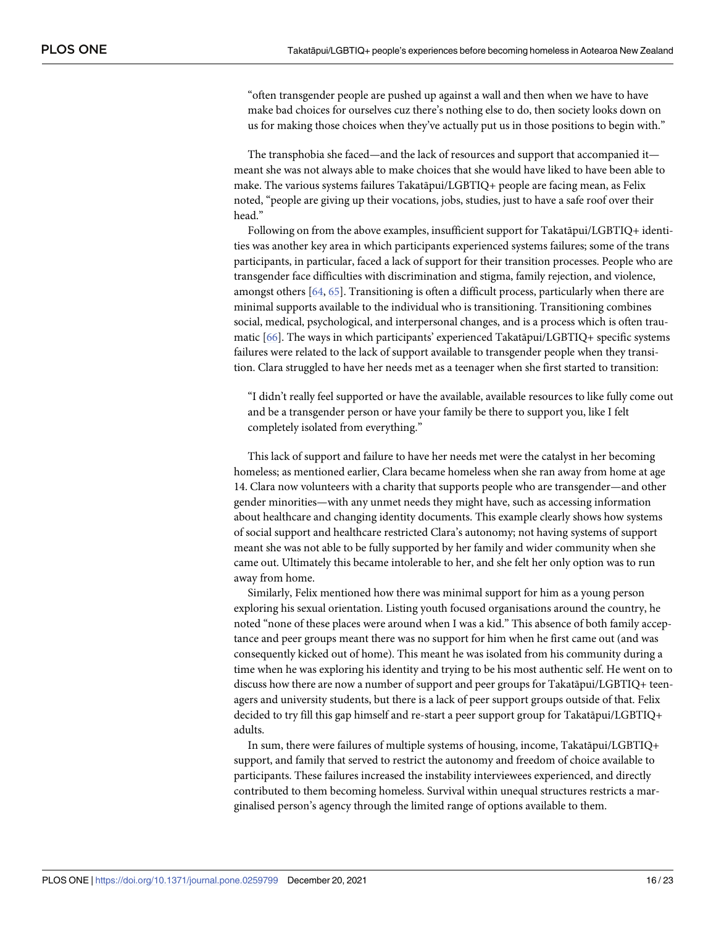<span id="page-15-0"></span>"often transgender people are pushed up against a wall and then when we have to have make bad choices for ourselves cuz there's nothing else to do, then society looks down on us for making those choices when they've actually put us in those positions to begin with."

The transphobia she faced—and the lack of resources and support that accompanied it meant she was not always able to make choices that she would have liked to have been able to make. The various systems failures Takatāpui/LGBTIQ+ people are facing mean, as Felix noted, "people are giving up their vocations, jobs, studies, just to have a safe roof over their head."

Following on from the above examples, insufficient support for Takatāpui/LGBTIQ+ identities was another key area in which participants experienced systems failures; some of the trans participants, in particular, faced a lack of support for their transition processes. People who are transgender face difficulties with discrimination and stigma, family rejection, and violence, amongst others [\[64,](#page-21-0) [65](#page-21-0)]. Transitioning is often a difficult process, particularly when there are minimal supports available to the individual who is transitioning. Transitioning combines social, medical, psychological, and interpersonal changes, and is a process which is often traumatic [\[66\]](#page-21-0). The ways in which participants' experienced Takatāpui/LGBTIQ+ specific systems failures were related to the lack of support available to transgender people when they transition. Clara struggled to have her needs met as a teenager when she first started to transition:

"I didn't really feel supported or have the available, available resources to like fully come out and be a transgender person or have your family be there to support you, like I felt completely isolated from everything."

This lack of support and failure to have her needs met were the catalyst in her becoming homeless; as mentioned earlier, Clara became homeless when she ran away from home at age 14. Clara now volunteers with a charity that supports people who are transgender—and other gender minorities—with any unmet needs they might have, such as accessing information about healthcare and changing identity documents. This example clearly shows how systems of social support and healthcare restricted Clara's autonomy; not having systems of support meant she was not able to be fully supported by her family and wider community when she came out. Ultimately this became intolerable to her, and she felt her only option was to run away from home.

Similarly, Felix mentioned how there was minimal support for him as a young person exploring his sexual orientation. Listing youth focused organisations around the country, he noted "none of these places were around when I was a kid." This absence of both family acceptance and peer groups meant there was no support for him when he first came out (and was consequently kicked out of home). This meant he was isolated from his community during a time when he was exploring his identity and trying to be his most authentic self. He went on to discuss how there are now a number of support and peer groups for Takatāpui/LGBTIQ+ teenagers and university students, but there is a lack of peer support groups outside of that. Felix decided to try fill this gap himself and re-start a peer support group for Takatāpui/LGBTIQ+ adults.

In sum, there were failures of multiple systems of housing, income, Takatāpui/LGBTIQ+ support, and family that served to restrict the autonomy and freedom of choice available to participants. These failures increased the instability interviewees experienced, and directly contributed to them becoming homeless. Survival within unequal structures restricts a marginalised person's agency through the limited range of options available to them.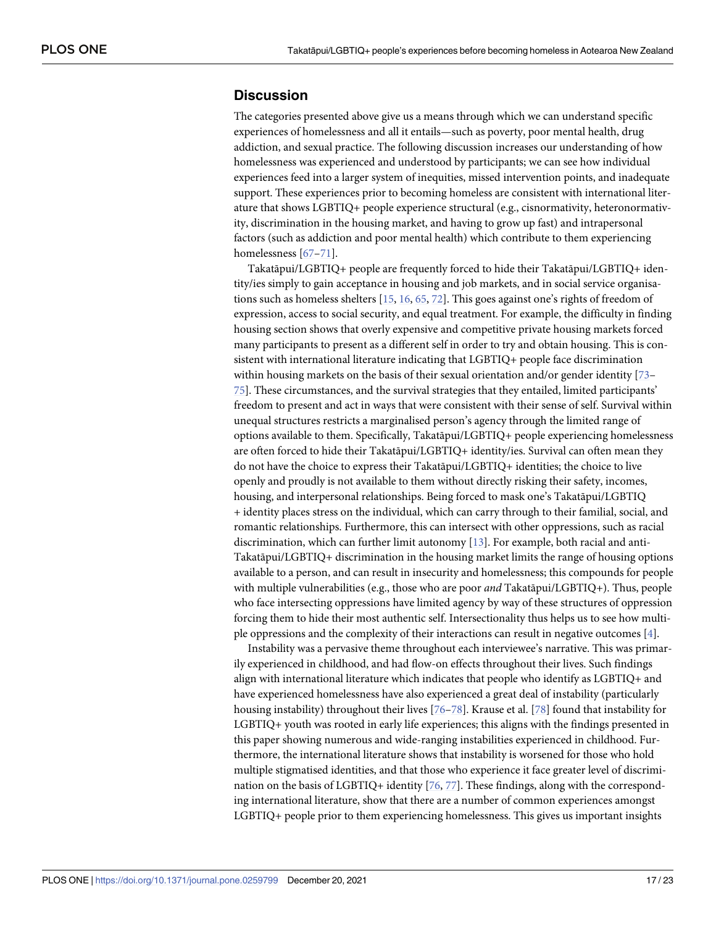#### <span id="page-16-0"></span>**Discussion**

The categories presented above give us a means through which we can understand specific experiences of homelessness and all it entails—such as poverty, poor mental health, drug addiction, and sexual practice. The following discussion increases our understanding of how homelessness was experienced and understood by participants; we can see how individual experiences feed into a larger system of inequities, missed intervention points, and inadequate support. These experiences prior to becoming homeless are consistent with international literature that shows LGBTIQ+ people experience structural (e.g., cisnormativity, heteronormativity, discrimination in the housing market, and having to grow up fast) and intrapersonal factors (such as addiction and poor mental health) which contribute to them experiencing homelessness [\[67–71](#page-21-0)].

Takatāpui/LGBTIQ+ people are frequently forced to hide their Takatāpui/LGBTIQ+ identity/ies simply to gain acceptance in housing and job markets, and in social service organisations such as homeless shelters [\[15,](#page-19-0) [16,](#page-19-0) [65,](#page-21-0) [72\]](#page-21-0). This goes against one's rights of freedom of expression, access to social security, and equal treatment. For example, the difficulty in finding housing section shows that overly expensive and competitive private housing markets forced many participants to present as a different self in order to try and obtain housing. This is consistent with international literature indicating that LGBTIQ+ people face discrimination within housing markets on the basis of their sexual orientation and/or gender identity [\[73–](#page-21-0) [75\]](#page-21-0). These circumstances, and the survival strategies that they entailed, limited participants' freedom to present and act in ways that were consistent with their sense of self. Survival within unequal structures restricts a marginalised person's agency through the limited range of options available to them. Specifically, Takatāpui/LGBTIQ+ people experiencing homelessness are often forced to hide their Takatāpui/LGBTIQ+ identity/ies. Survival can often mean they do not have the choice to express their Takatāpui/LGBTIQ+ identities; the choice to live openly and proudly is not available to them without directly risking their safety, incomes, housing, and interpersonal relationships. Being forced to mask one's Takatāpui/LGBTIQ + identity places stress on the individual, which can carry through to their familial, social, and romantic relationships. Furthermore, this can intersect with other oppressions, such as racial discrimination, which can further limit autonomy [\[13\]](#page-19-0). For example, both racial and anti-Takatāpui/LGBTIQ+ discrimination in the housing market limits the range of housing options available to a person, and can result in insecurity and homelessness; this compounds for people with multiple vulnerabilities (e.g., those who are poor *and* Takatāpui/LGBTIQ+). Thus, people who face intersecting oppressions have limited agency by way of these structures of oppression forcing them to hide their most authentic self. Intersectionality thus helps us to see how multiple oppressions and the complexity of their interactions can result in negative outcomes [[4](#page-18-0)].

Instability was a pervasive theme throughout each interviewee's narrative. This was primarily experienced in childhood, and had flow-on effects throughout their lives. Such findings align with international literature which indicates that people who identify as LGBTIQ+ and have experienced homelessness have also experienced a great deal of instability (particularly housing instability) throughout their lives [\[76–78\]](#page-21-0). Krause et al. [[78](#page-21-0)] found that instability for LGBTIQ+ youth was rooted in early life experiences; this aligns with the findings presented in this paper showing numerous and wide-ranging instabilities experienced in childhood. Furthermore, the international literature shows that instability is worsened for those who hold multiple stigmatised identities, and that those who experience it face greater level of discrimination on the basis of LGBTIQ+ identity [\[76,](#page-21-0) [77\]](#page-21-0). These findings, along with the corresponding international literature, show that there are a number of common experiences amongst LGBTIQ+ people prior to them experiencing homelessness. This gives us important insights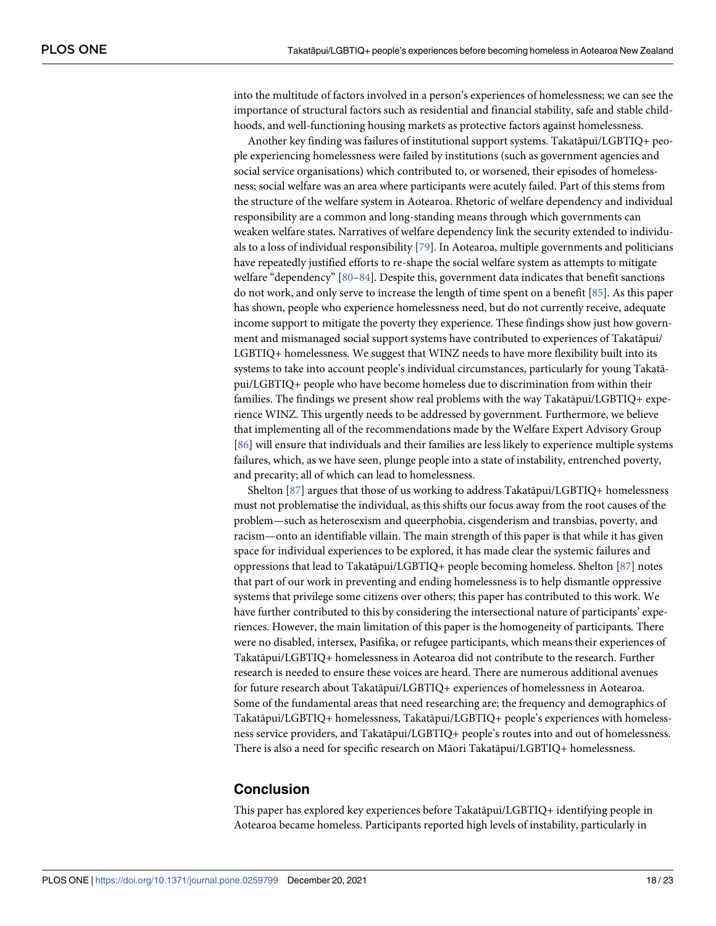<span id="page-17-0"></span>into the multitude of factors involved in a person's experiences of homelessness; we can see the importance of structural factors such as residential and financial stability, safe and stable childhoods, and well-functioning housing markets as protective factors against homelessness.

Another key finding was failures of institutional support systems. Takatāpui/LGBTIQ+ people experiencing homelessness were failed by institutions (such as government agencies and social service organisations) which contributed to, or worsened, their episodes of homelessness; social welfare was an area where participants were acutely failed. Part of this stems from the structure of the welfare system in Aotearoa. Rhetoric of welfare dependency and individual responsibility are a common and long-standing means through which governments can weaken welfare states. Narratives of welfare dependency link the security extended to individuals to a loss of individual responsibility [\[79\]](#page-21-0). In Aotearoa, multiple governments and politicians have repeatedly justified efforts to re-shape the social welfare system as attempts to mitigate welfare "dependency" [[80–84\]](#page-22-0). Despite this, government data indicates that benefit sanctions do not work, and only serve to increase the length of time spent on a benefit [\[85\]](#page-22-0). As this paper has shown, people who experience homelessness need, but do not currently receive, adequate income support to mitigate the poverty they experience. These findings show just how government and mismanaged social support systems have contributed to experiences of Takatāpui/ LGBTIQ+ homelessness. We suggest that WINZ needs to have more flexibility built into its systems to take into account people's individual circumstances, particularly for young Takatāpui/LGBTIQ+ people who have become homeless due to discrimination from within their families. The findings we present show real problems with the way Takatāpui/LGBTIQ+ experience WINZ. This urgently needs to be addressed by government. Furthermore, we believe that implementing all of the recommendations made by the Welfare Expert Advisory Group [\[86\]](#page-22-0) will ensure that individuals and their families are less likely to experience multiple systems failures, which, as we have seen, plunge people into a state of instability, entrenched poverty, and precarity; all of which can lead to homelessness.

Shelton [[87](#page-22-0)] argues that those of us working to address Takatāpui/LGBTIQ+ homelessness must not problematise the individual, as this shifts our focus away from the root causes of the problem—such as heterosexism and queerphobia, cisgenderism and transbias, poverty, and racism—onto an identifiable villain. The main strength of this paper is that while it has given space for individual experiences to be explored, it has made clear the systemic failures and oppressions that lead to Takatāpui/LGBTIQ+ people becoming homeless. Shelton [\[87\]](#page-22-0) notes that part of our work in preventing and ending homelessness is to help dismantle oppressive systems that privilege some citizens over others; this paper has contributed to this work. We have further contributed to this by considering the intersectional nature of participants' experiences. However, the main limitation of this paper is the homogeneity of participants. There were no disabled, intersex, Pasifika, or refugee participants, which means their experiences of Takatāpui/LGBTIQ+ homelessness in Aotearoa did not contribute to the research. Further research is needed to ensure these voices are heard. There are numerous additional avenues for future research about Takatāpui/LGBTIQ+ experiences of homelessness in Aotearoa. Some of the fundamental areas that need researching are; the frequency and demographics of Takatāpui/LGBTIQ+ homelessness, Takatāpui/LGBTIQ+ people's experiences with homelessness service providers, and Takatāpui/LGBTIQ+ people's routes into and out of homelessness. There is also a need for specific research on Māori Takatāpui/LGBTIQ+ homelessness.

## **Conclusion**

This paper has explored key experiences before Takatāpui/LGBTIQ+ identifying people in Aotearoa became homeless. Participants reported high levels of instability, particularly in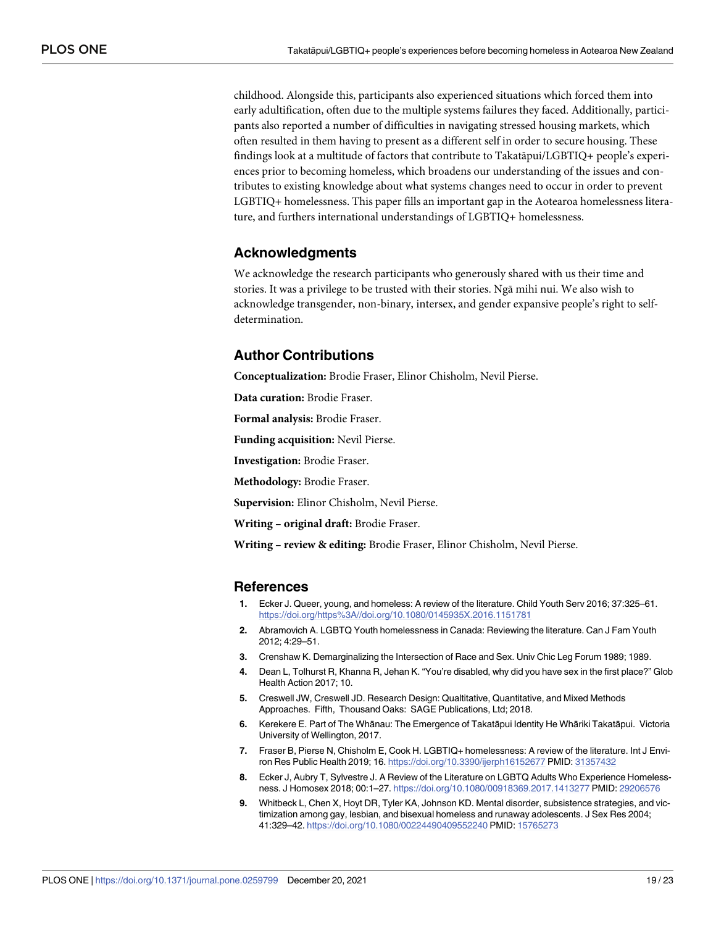<span id="page-18-0"></span>childhood. Alongside this, participants also experienced situations which forced them into early adultification, often due to the multiple systems failures they faced. Additionally, participants also reported a number of difficulties in navigating stressed housing markets, which often resulted in them having to present as a different self in order to secure housing. These findings look at a multitude of factors that contribute to Takatāpui/LGBTIQ+ people's experiences prior to becoming homeless, which broadens our understanding of the issues and contributes to existing knowledge about what systems changes need to occur in order to prevent LGBTIQ+ homelessness. This paper fills an important gap in the Aotearoa homelessness literature, and furthers international understandings of LGBTIQ+ homelessness.

#### **Acknowledgments**

We acknowledge the research participants who generously shared with us their time and stories. It was a privilege to be trusted with their stories. Ngā mihi nui. We also wish to acknowledge transgender, non-binary, intersex, and gender expansive people's right to selfdetermination.

## **Author Contributions**

**Conceptualization:** Brodie Fraser, Elinor Chisholm, Nevil Pierse.

**Data curation:** Brodie Fraser.

**Formal analysis:** Brodie Fraser.

**Funding acquisition:** Nevil Pierse.

**Investigation:** Brodie Fraser.

**Methodology:** Brodie Fraser.

**Supervision:** Elinor Chisholm, Nevil Pierse.

**Writing – original draft:** Brodie Fraser.

**Writing – review & editing:** Brodie Fraser, Elinor Chisholm, Nevil Pierse.

#### **References**

- **[1](#page-0-0).** Ecker J. Queer, young, and homeless: A review of the literature. Child Youth Serv 2016; 37:325–61. <https://doi.org/https%3A//doi.org/10.1080/0145935X.2016.1151781>
- **[2](#page-0-0).** Abramovich A. LGBTQ Youth homelessness in Canada: Reviewing the literature. Can J Fam Youth 2012; 4:29–51.
- **[3](#page-1-0).** Crenshaw K. Demarginalizing the Intersection of Race and Sex. Univ Chic Leg Forum 1989; 1989.
- **[4](#page-1-0).** Dean L, Tolhurst R, Khanna R, Jehan K. "You're disabled, why did you have sex in the first place?" Glob Health Action 2017; 10.
- **[5](#page-1-0).** Creswell JW, Creswell JD. Research Design: Qualtitative, Quantitative, and Mixed Methods Approaches. Fifth, Thousand Oaks: SAGE Publications, Ltd; 2018.
- **[6](#page-1-0).** Kerekere E. Part of The Whānau: The Emergence of Takatāpui Identity He Whāriki Takatāpui. Victoria University of Wellington, 2017.
- **[7](#page-1-0).** Fraser B, Pierse N, Chisholm E, Cook H. LGBTIQ+ homelessness: A review of the literature. Int J Environ Res Public Health 2019; 16. <https://doi.org/10.3390/ijerph16152677> PMID: [31357432](http://www.ncbi.nlm.nih.gov/pubmed/31357432)
- **8.** Ecker J, Aubry T, Sylvestre J. A Review of the Literature on LGBTQ Adults Who Experience Homelessness. J Homosex 2018; 00:1–27. <https://doi.org/10.1080/00918369.2017.1413277> PMID: [29206576](http://www.ncbi.nlm.nih.gov/pubmed/29206576)
- **9.** Whitbeck L, Chen X, Hoyt DR, Tyler KA, Johnson KD. Mental disorder, subsistence strategies, and victimization among gay, lesbian, and bisexual homeless and runaway adolescents. J Sex Res 2004; 41:329–42. <https://doi.org/10.1080/00224490409552240> PMID: [15765273](http://www.ncbi.nlm.nih.gov/pubmed/15765273)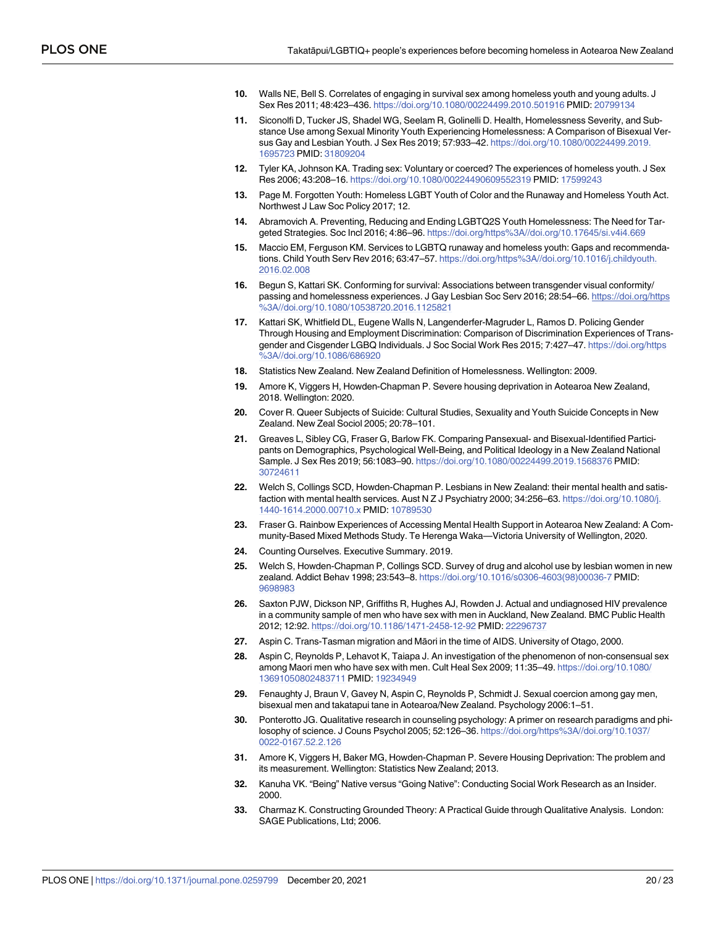- <span id="page-19-0"></span>**10.** Walls NE, Bell S. Correlates of engaging in survival sex among homeless youth and young adults. J Sex Res 2011; 48:423–436. <https://doi.org/10.1080/00224499.2010.501916> PMID: [20799134](http://www.ncbi.nlm.nih.gov/pubmed/20799134)
- **11.** Siconolfi D, Tucker JS, Shadel WG, Seelam R, Golinelli D. Health, Homelessness Severity, and Substance Use among Sexual Minority Youth Experiencing Homelessness: A Comparison of Bisexual Versus Gay and Lesbian Youth. J Sex Res 2019; 57:933–42. [https://doi.org/10.1080/00224499.2019.](https://doi.org/10.1080/00224499.2019.1695723) [1695723](https://doi.org/10.1080/00224499.2019.1695723) PMID: [31809204](http://www.ncbi.nlm.nih.gov/pubmed/31809204)
- **[12](#page-1-0).** Tyler KA, Johnson KA. Trading sex: Voluntary or coerced? The experiences of homeless youth. J Sex Res 2006; 43:208–16. <https://doi.org/10.1080/00224490609552319> PMID: [17599243](http://www.ncbi.nlm.nih.gov/pubmed/17599243)
- **[13](#page-1-0).** Page M. Forgotten Youth: Homeless LGBT Youth of Color and the Runaway and Homeless Youth Act. Northwest J Law Soc Policy 2017; 12.
- **14.** Abramovich A. Preventing, Reducing and Ending LGBTQ2S Youth Homelessness: The Need for Targeted Strategies. Soc Incl 2016; 4:86-96. <https://doi.org/https%3A//doi.org/10.17645/si.v4i4.669>
- **[15](#page-16-0).** Maccio EM, Ferguson KM. Services to LGBTQ runaway and homeless youth: Gaps and recommendations. Child Youth Serv Rev 2016; 63:47–57. [https://doi.org/https%3A//doi.org/10.1016/j.childyouth.](https://doi.org/https%3A//doi.org/10.1016/j.childyouth.2016.02.008) [2016.02.008](https://doi.org/https%3A//doi.org/10.1016/j.childyouth.2016.02.008)
- **[16](#page-16-0).** Begun S, Kattari SK. Conforming for survival: Associations between transgender visual conformity/ passing and homelessness experiences. J Gay Lesbian Soc Serv 2016; 28:54–66. [https://doi.org/https](https://doi.org/https%3A//doi.org/10.1080/10538720.2016.1125821) [%3A//doi.org/10.1080/10538720.2016.1125821](https://doi.org/https%3A//doi.org/10.1080/10538720.2016.1125821)
- **[17](#page-1-0).** Kattari SK, Whitfield DL, Eugene Walls N, Langenderfer-Magruder L, Ramos D. Policing Gender Through Housing and Employment Discrimination: Comparison of Discrimination Experiences of Transgender and Cisgender LGBQ Individuals. J Soc Social Work Res 2015; 7:427–47. [https://doi.org/https](https://doi.org/https%3A//doi.org/10.1086/686920) [%3A//doi.org/10.1086/686920](https://doi.org/https%3A//doi.org/10.1086/686920)
- **[18](#page-1-0).** Statistics New Zealand. New Zealand Definition of Homelessness. Wellington: 2009.
- **[19](#page-1-0).** Amore K, Viggers H, Howden-Chapman P. Severe housing deprivation in Aotearoa New Zealand, 2018. Wellington: 2020.
- **[20](#page-1-0).** Cover R. Queer Subjects of Suicide: Cultural Studies, Sexuality and Youth Suicide Concepts in New Zealand. New Zeal Sociol 2005; 20:78–101.
- **[21](#page-1-0).** Greaves L, Sibley CG, Fraser G, Barlow FK. Comparing Pansexual- and Bisexual-Identified Participants on Demographics, Psychological Well-Being, and Political Ideology in a New Zealand National Sample. J Sex Res 2019; 56:1083–90. <https://doi.org/10.1080/00224499.2019.1568376> PMID: [30724611](http://www.ncbi.nlm.nih.gov/pubmed/30724611)
- **22.** Welch S, Collings SCD, Howden-Chapman P. Lesbians in New Zealand: their mental health and satisfaction with mental health services. Aust N Z J Psychiatry 2000; 34:256–63. [https://doi.org/10.1080/j.](https://doi.org/10.1080/j.1440-1614.2000.00710.x) [1440-1614.2000.00710.x](https://doi.org/10.1080/j.1440-1614.2000.00710.x) PMID: [10789530](http://www.ncbi.nlm.nih.gov/pubmed/10789530)
- **23.** Fraser G. Rainbow Experiences of Accessing Mental Health Support in Aotearoa New Zealand: A Community-Based Mixed Methods Study. Te Herenga Waka—Victoria University of Wellington, 2020.
- **[24](#page-1-0).** Counting Ourselves. Executive Summary. 2019.
- **[25](#page-1-0).** Welch S, Howden-Chapman P, Collings SCD. Survey of drug and alcohol use by lesbian women in new zealand. Addict Behav 1998; 23:543–8. [https://doi.org/10.1016/s0306-4603\(98\)00036-7](https://doi.org/10.1016/s0306-4603%2898%2900036-7) PMID: [9698983](http://www.ncbi.nlm.nih.gov/pubmed/9698983)
- **[26](#page-1-0).** Saxton PJW, Dickson NP, Griffiths R, Hughes AJ, Rowden J. Actual and undiagnosed HIV prevalence in a community sample of men who have sex with men in Auckland, New Zealand. BMC Public Health 2012; 12:92. <https://doi.org/10.1186/1471-2458-12-92> PMID: [22296737](http://www.ncbi.nlm.nih.gov/pubmed/22296737)
- **[27](#page-1-0).** Aspin C. Trans-Tasman migration and Māori in the time of AIDS. University of Otago, 2000.
- **[28](#page-1-0).** Aspin C, Reynolds P, Lehavot K, Taiapa J. An investigation of the phenomenon of non-consensual sex among Maori men who have sex with men. Cult Heal Sex 2009; 11:35–49. [https://doi.org/10.1080/](https://doi.org/10.1080/13691050802483711) [13691050802483711](https://doi.org/10.1080/13691050802483711) PMID: [19234949](http://www.ncbi.nlm.nih.gov/pubmed/19234949)
- **[29](#page-1-0).** Fenaughty J, Braun V, Gavey N, Aspin C, Reynolds P, Schmidt J. Sexual coercion among gay men, bisexual men and takatapui tane in Aotearoa/New Zealand. Psychology 2006:1–51.
- **[30](#page-2-0).** Ponterotto JG. Qualitative research in counseling psychology: A primer on research paradigms and philosophy of science. J Couns Psychol 2005; 52:126–36. [https://doi.org/https%3A//doi.org/10.1037/](https://doi.org/https%3A//doi.org/10.1037/0022-0167.52.2.126) [0022-0167.52.2.126](https://doi.org/https%3A//doi.org/10.1037/0022-0167.52.2.126)
- **[31](#page-2-0).** Amore K, Viggers H, Baker MG, Howden-Chapman P. Severe Housing Deprivation: The problem and its measurement. Wellington: Statistics New Zealand; 2013.
- **[32](#page-2-0).** Kanuha VK. "Being" Native versus "Going Native": Conducting Social Work Research as an Insider. 2000.
- **[33](#page-3-0).** Charmaz K. Constructing Grounded Theory: A Practical Guide through Qualitative Analysis. London: SAGE Publications, Ltd; 2006.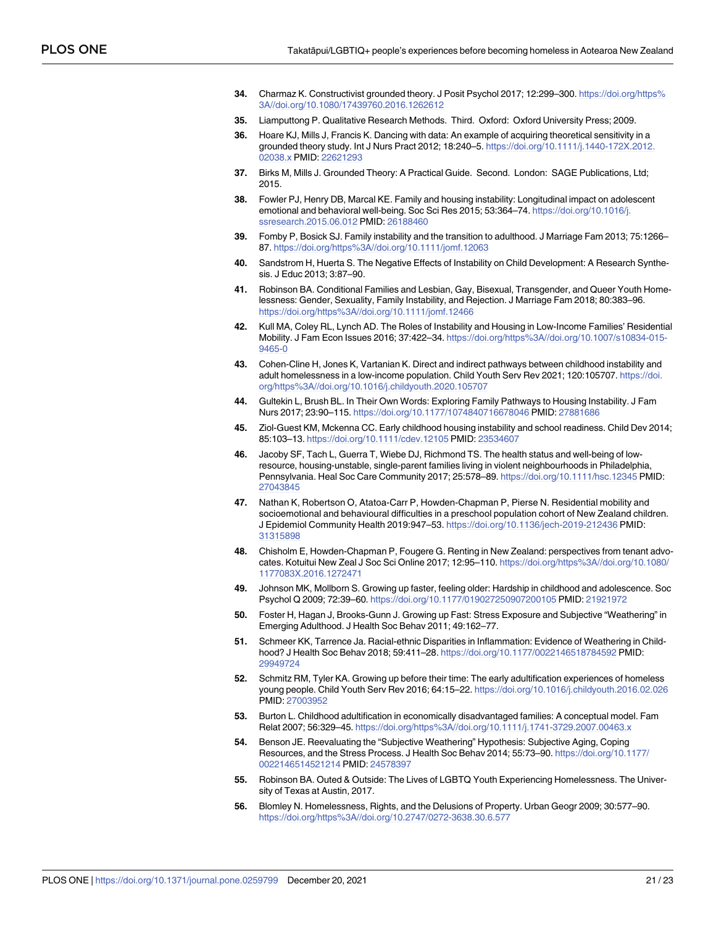- <span id="page-20-0"></span>**[34](#page-3-0).** Charmaz K. Constructivist grounded theory. J Posit Psychol 2017; 12:299–300. [https://doi.org/https%](https://doi.org/https%3A//doi.org/10.1080/17439760.2016.1262612) [3A//doi.org/10.1080/17439760.2016.1262612](https://doi.org/https%3A//doi.org/10.1080/17439760.2016.1262612)
- **[35](#page-3-0).** Liamputtong P. Qualitative Research Methods. Third. Oxford: Oxford University Press; 2009.
- **[36](#page-3-0).** Hoare KJ, Mills J, Francis K. Dancing with data: An example of acquiring theoretical sensitivity in a grounded theory study. Int J Nurs Pract 2012; 18:240–5. [https://doi.org/10.1111/j.1440-172X.2012.](https://doi.org/10.1111/j.1440-172X.2012.02038.x) [02038.x](https://doi.org/10.1111/j.1440-172X.2012.02038.x) PMID: [22621293](http://www.ncbi.nlm.nih.gov/pubmed/22621293)
- **[37](#page-3-0).** Birks M, Mills J. Grounded Theory: A Practical Guide. Second. London: SAGE Publications, Ltd; 2015.
- **[38](#page-5-0).** Fowler PJ, Henry DB, Marcal KE. Family and housing instability: Longitudinal impact on adolescent emotional and behavioral well-being. Soc Sci Res 2015; 53:364–74. [https://doi.org/10.1016/j.](https://doi.org/10.1016/j.ssresearch.2015.06.012) [ssresearch.2015.06.012](https://doi.org/10.1016/j.ssresearch.2015.06.012) PMID: [26188460](http://www.ncbi.nlm.nih.gov/pubmed/26188460)
- **39.** Fomby P, Bosick SJ. Family instability and the transition to adulthood. J Marriage Fam 2013; 75:1266– 87. <https://doi.org/https%3A//doi.org/10.1111/jomf.12063>
- **40.** Sandstrom H, Huerta S. The Negative Effects of Instability on Child Development: A Research Synthesis. J Educ 2013; 3:87–90.
- **[41](#page-5-0).** Robinson BA. Conditional Families and Lesbian, Gay, Bisexual, Transgender, and Queer Youth Homelessness: Gender, Sexuality, Family Instability, and Rejection. J Marriage Fam 2018; 80:383–96. <https://doi.org/https%3A//doi.org/10.1111/jomf.12466>
- **42.** Kull MA, Coley RL, Lynch AD. The Roles of Instability and Housing in Low-Income Families' Residential Mobility. J Fam Econ Issues 2016; 37:422–34. [https://doi.org/https%3A//doi.org/10.1007/s10834-015-](https://doi.org/https%3A//doi.org/10.1007/s10834-015-9465-0) [9465-0](https://doi.org/https%3A//doi.org/10.1007/s10834-015-9465-0)
- **[43](#page-5-0).** Cohen-Cline H, Jones K, Vartanian K. Direct and indirect pathways between childhood instability and adult homelessness in a low-income population. Child Youth Serv Rev 2021; 120:105707. [https://doi.](https://doi.org/https%3A//doi.org/10.1016/j.childyouth.2020.105707) [org/https%3A//doi.org/10.1016/j.childyouth.2020.105707](https://doi.org/https%3A//doi.org/10.1016/j.childyouth.2020.105707)
- **[44](#page-5-0).** Gultekin L, Brush BL. In Their Own Words: Exploring Family Pathways to Housing Instability. J Fam Nurs 2017; 23:90–115. <https://doi.org/10.1177/1074840716678046> PMID: [27881686](http://www.ncbi.nlm.nih.gov/pubmed/27881686)
- **45.** Ziol-Guest KM, Mckenna CC. Early childhood housing instability and school readiness. Child Dev 2014; 85:103–13. <https://doi.org/10.1111/cdev.12105> PMID: [23534607](http://www.ncbi.nlm.nih.gov/pubmed/23534607)
- **46.** Jacoby SF, Tach L, Guerra T, Wiebe DJ, Richmond TS. The health status and well-being of lowresource, housing-unstable, single-parent families living in violent neighbourhoods in Philadelphia, Pennsylvania. Heal Soc Care Community 2017; 25:578–89. <https://doi.org/10.1111/hsc.12345> PMID: [27043845](http://www.ncbi.nlm.nih.gov/pubmed/27043845)
- **[47](#page-5-0).** Nathan K, Robertson O, Atatoa-Carr P, Howden-Chapman P, Pierse N. Residential mobility and socioemotional and behavioural difficulties in a preschool population cohort of New Zealand children. J Epidemiol Community Health 2019:947–53. <https://doi.org/10.1136/jech-2019-212436> PMID: [31315898](http://www.ncbi.nlm.nih.gov/pubmed/31315898)
- **[48](#page-6-0).** Chisholm E, Howden-Chapman P, Fougere G. Renting in New Zealand: perspectives from tenant advocates. Kotuitui New Zeal J Soc Sci Online 2017; 12:95–110. [https://doi.org/https%3A//doi.org/10.1080/](https://doi.org/https%3A//doi.org/10.1080/1177083X.2016.1272471) [1177083X.2016.1272471](https://doi.org/https%3A//doi.org/10.1080/1177083X.2016.1272471)
- **[49](#page-7-0).** Johnson MK, Mollborn S. Growing up faster, feeling older: Hardship in childhood and adolescence. Soc Psychol Q 2009; 72:39–60. <https://doi.org/10.1177/019027250907200105> PMID: [21921972](http://www.ncbi.nlm.nih.gov/pubmed/21921972)
- **[50](#page-7-0).** Foster H, Hagan J, Brooks-Gunn J. Growing up Fast: Stress Exposure and Subjective "Weathering" in Emerging Adulthood. J Health Soc Behav 2011; 49:162–77.
- **[51](#page-7-0).** Schmeer KK, Tarrence Ja. Racial-ethnic Disparities in Inflammation: Evidence of Weathering in Childhood? J Health Soc Behav 2018; 59:411–28. <https://doi.org/10.1177/0022146518784592> PMID: [29949724](http://www.ncbi.nlm.nih.gov/pubmed/29949724)
- **[52](#page-7-0).** Schmitz RM, Tyler KA. Growing up before their time: The early adultification experiences of homeless young people. Child Youth Serv Rev 2016; 64:15–22. <https://doi.org/10.1016/j.childyouth.2016.02.026> PMID: [27003952](http://www.ncbi.nlm.nih.gov/pubmed/27003952)
- **[53](#page-7-0).** Burton L. Childhood adultification in economically disadvantaged families: A conceptual model. Fam Relat 2007; 56:329–45. <https://doi.org/https%3A//doi.org/10.1111/j.1741-3729.2007.00463.x>
- **[54](#page-9-0).** Benson JE. Reevaluating the "Subjective Weathering" Hypothesis: Subjective Aging, Coping Resources, and the Stress Process. J Health Soc Behav 2014; 55:73–90. [https://doi.org/10.1177/](https://doi.org/10.1177/0022146514521214) [0022146514521214](https://doi.org/10.1177/0022146514521214) PMID: [24578397](http://www.ncbi.nlm.nih.gov/pubmed/24578397)
- **[55](#page-9-0).** Robinson BA. Outed & Outside: The Lives of LGBTQ Youth Experiencing Homelessness. The University of Texas at Austin, 2017.
- **[56](#page-10-0).** Blomley N. Homelessness, Rights, and the Delusions of Property. Urban Geogr 2009; 30:577–90. <https://doi.org/https%3A//doi.org/10.2747/0272-3638.30.6.577>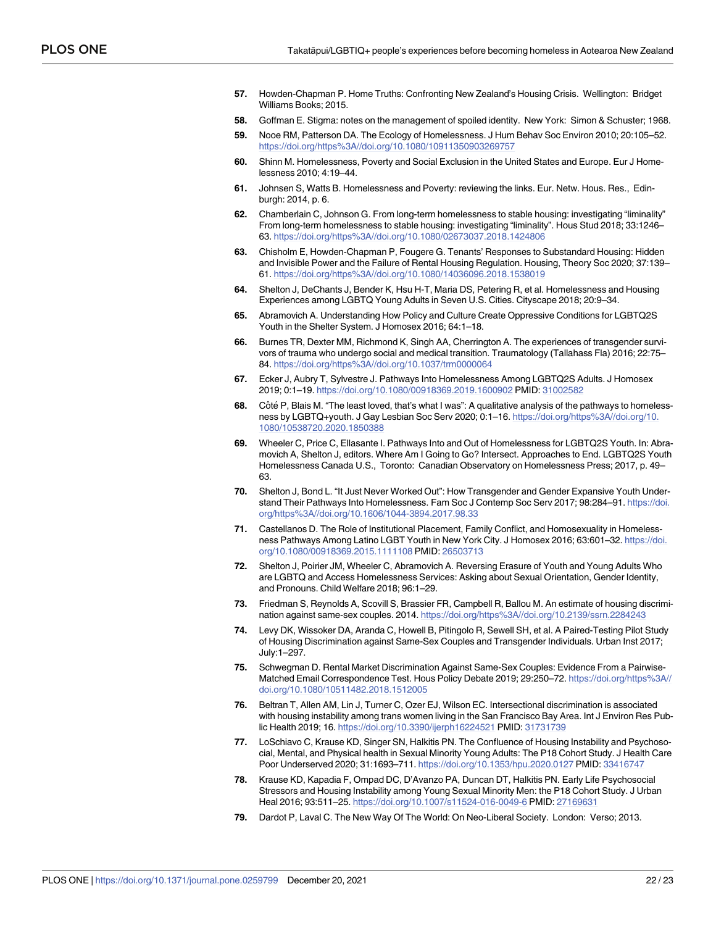- <span id="page-21-0"></span>**[57](#page-10-0).** Howden-Chapman P. Home Truths: Confronting New Zealand's Housing Crisis. Wellington: Bridget Williams Books; 2015.
- **[58](#page-11-0).** Goffman E. Stigma: notes on the management of spoiled identity. New York: Simon & Schuster; 1968.
- **[59](#page-12-0).** Nooe RM, Patterson DA. The Ecology of Homelessness. J Hum Behav Soc Environ 2010; 20:105–52. <https://doi.org/https%3A//doi.org/10.1080/10911350903269757>
- **60.** Shinn M. Homelessness, Poverty and Social Exclusion in the United States and Europe. Eur J Homelessness 2010; 4:19–44.
- **[61](#page-12-0).** Johnsen S, Watts B. Homelessness and Poverty: reviewing the links. Eur. Netw. Hous. Res., Edinburgh: 2014, p. 6.
- **[62](#page-13-0).** Chamberlain C, Johnson G. From long-term homelessness to stable housing: investigating "liminality" From long-term homelessness to stable housing: investigating "liminality". Hous Stud 2018; 33:1246– 63. <https://doi.org/https%3A//doi.org/10.1080/02673037.2018.1424806>
- **[63](#page-13-0).** Chisholm E, Howden-Chapman P, Fougere G. Tenants' Responses to Substandard Housing: Hidden and Invisible Power and the Failure of Rental Housing Regulation. Housing, Theory Soc 2020; 37:139– 61. <https://doi.org/https%3A//doi.org/10.1080/14036096.2018.1538019>
- **[64](#page-15-0).** Shelton J, DeChants J, Bender K, Hsu H-T, Maria DS, Petering R, et al. Homelessness and Housing Experiences among LGBTQ Young Adults in Seven U.S. Cities. Cityscape 2018; 20:9–34.
- **[65](#page-15-0).** Abramovich A. Understanding How Policy and Culture Create Oppressive Conditions for LGBTQ2S Youth in the Shelter System. J Homosex 2016; 64:1–18.
- **[66](#page-15-0).** Burnes TR, Dexter MM, Richmond K, Singh AA, Cherrington A. The experiences of transgender survivors of trauma who undergo social and medical transition. Traumatology (Tallahass Fla) 2016; 22:75– 84. <https://doi.org/https%3A//doi.org/10.1037/trm0000064>
- **[67](#page-16-0).** Ecker J, Aubry T, Sylvestre J. Pathways Into Homelessness Among LGBTQ2S Adults. J Homosex 2019; 0:1–19. <https://doi.org/10.1080/00918369.2019.1600902> PMID: [31002582](http://www.ncbi.nlm.nih.gov/pubmed/31002582)
- **68.** Côté P, Blais M. "The least loved, that's what I was": A qualitative analysis of the pathways to homelessness by LGBTQ+youth. J Gay Lesbian Soc Serv 2020; 0:1–16. [https://doi.org/https%3A//doi.org/10.](https://doi.org/https%3A//doi.org/10.1080/10538720.2020.1850388) [1080/10538720.2020.1850388](https://doi.org/https%3A//doi.org/10.1080/10538720.2020.1850388)
- **69.** Wheeler C, Price C, Ellasante I. Pathways Into and Out of Homelessness for LGBTQ2S Youth. In: Abramovich A, Shelton J, editors. Where Am I Going to Go? Intersect. Approaches to End. LGBTQ2S Youth Homelessness Canada U.S., Toronto: Canadian Observatory on Homelessness Press; 2017, p. 49– 63.
- **70.** Shelton J, Bond L. "It Just Never Worked Out": How Transgender and Gender Expansive Youth Understand Their Pathways Into Homelessness. Fam Soc J Contemp Soc Serv 2017; 98:284–91. [https://doi.](https://doi.org/https%3A//doi.org/10.1606/1044-3894.2017.98.33) [org/https%3A//doi.org/10.1606/1044-3894.2017.98.33](https://doi.org/https%3A//doi.org/10.1606/1044-3894.2017.98.33)
- **[71](#page-16-0).** Castellanos D. The Role of Institutional Placement, Family Conflict, and Homosexuality in Homelessness Pathways Among Latino LGBT Youth in New York City. J Homosex 2016; 63:601–32. [https://doi.](https://doi.org/10.1080/00918369.2015.1111108) [org/10.1080/00918369.2015.1111108](https://doi.org/10.1080/00918369.2015.1111108) PMID: [26503713](http://www.ncbi.nlm.nih.gov/pubmed/26503713)
- **[72](#page-16-0).** Shelton J, Poirier JM, Wheeler C, Abramovich A. Reversing Erasure of Youth and Young Adults Who are LGBTQ and Access Homelessness Services: Asking about Sexual Orientation, Gender Identity, and Pronouns. Child Welfare 2018; 96:1–29.
- **[73](#page-16-0).** Friedman S, Reynolds A, Scovill S, Brassier FR, Campbell R, Ballou M. An estimate of housing discrimination against same-sex couples. 2014. <https://doi.org/https%3A//doi.org/10.2139/ssrn.2284243>
- **74.** Levy DK, Wissoker DA, Aranda C, Howell B, Pitingolo R, Sewell SH, et al. A Paired-Testing Pilot Study of Housing Discrimination against Same-Sex Couples and Transgender Individuals. Urban Inst 2017; July:1–297.
- **[75](#page-16-0).** Schwegman D. Rental Market Discrimination Against Same-Sex Couples: Evidence From a Pairwise-Matched Email Correspondence Test. Hous Policy Debate 2019; 29:250–72. [https://doi.org/https%3A//](https://doi.org/https%3A//doi.org/10.1080/10511482.2018.1512005) [doi.org/10.1080/10511482.2018.1512005](https://doi.org/https%3A//doi.org/10.1080/10511482.2018.1512005)
- **[76](#page-16-0).** Beltran T, Allen AM, Lin J, Turner C, Ozer EJ, Wilson EC. Intersectional discrimination is associated with housing instability among trans women living in the San Francisco Bay Area. Int J Environ Res Public Health 2019; 16. <https://doi.org/10.3390/ijerph16224521> PMID: [31731739](http://www.ncbi.nlm.nih.gov/pubmed/31731739)
- **[77](#page-16-0).** LoSchiavo C, Krause KD, Singer SN, Halkitis PN. The Confluence of Housing Instability and Psychosocial, Mental, and Physical health in Sexual Minority Young Adults: The P18 Cohort Study. J Health Care Poor Underserved 2020; 31:1693–711. <https://doi.org/10.1353/hpu.2020.0127> PMID: [33416747](http://www.ncbi.nlm.nih.gov/pubmed/33416747)
- **[78](#page-16-0).** Krause KD, Kapadia F, Ompad DC, D'Avanzo PA, Duncan DT, Halkitis PN. Early Life Psychosocial Stressors and Housing Instability among Young Sexual Minority Men: the P18 Cohort Study. J Urban Heal 2016; 93:511-25. <https://doi.org/10.1007/s11524-016-0049-6> PMID: [27169631](http://www.ncbi.nlm.nih.gov/pubmed/27169631)
- **[79](#page-17-0).** Dardot P, Laval C. The New Way Of The World: On Neo-Liberal Society. London: Verso; 2013.